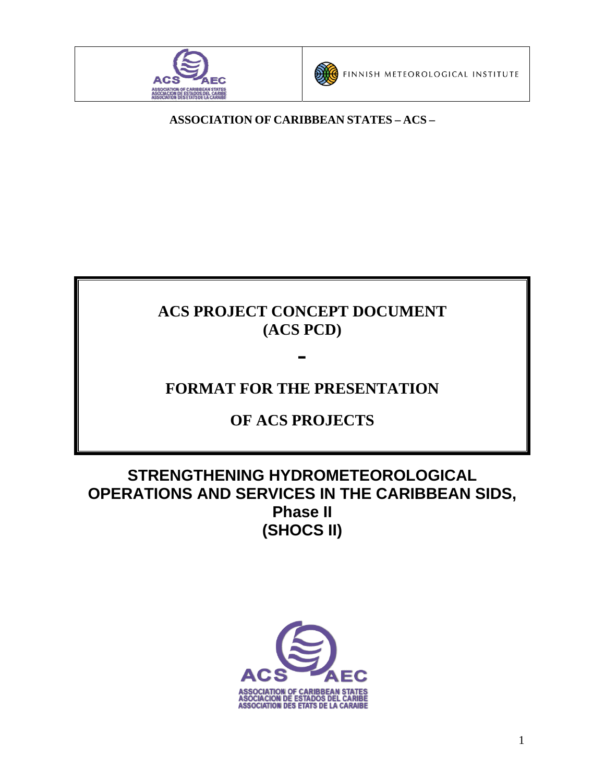



**ASSOCIATION OF CARIBBEAN STATES – ACS –** 

# **ACS PROJECT CONCEPT DOCUMENT (ACS PCD)**

# **FORMAT FOR THE PRESENTATION**

**-** 

# **OF ACS PROJECTS**

# **STRENGTHENING HYDROMETEOROLOGICAL OPERATIONS AND SERVICES IN THE CARIBBEAN SIDS, Phase II (SHOCS II)**

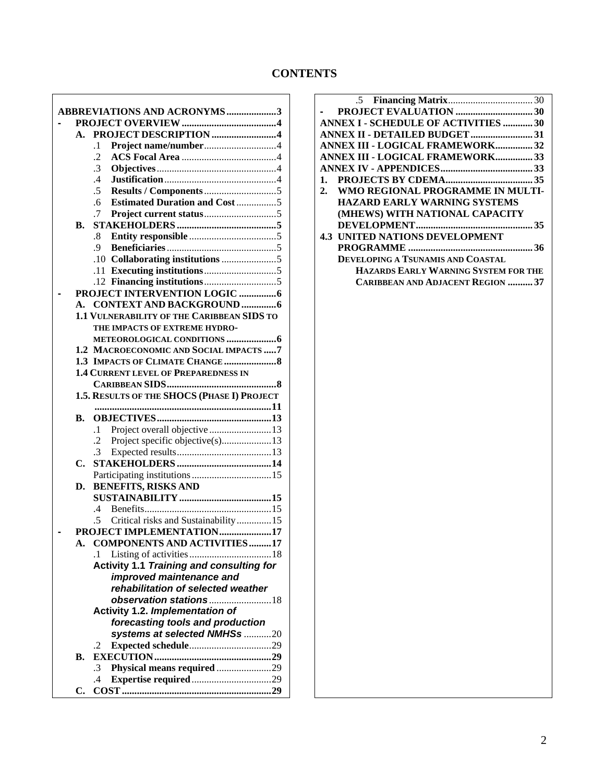## **CONTENTS**

| <b>ABBREVIATIONS AND ACRONYMS3</b>              |
|-------------------------------------------------|
|                                                 |
| PROJECT DESCRIPTION 4<br>A.                     |
| $\cdot$ 1                                       |
| $\cdot$ .2                                      |
| $\cdot$ 3                                       |
| $\mathcal{A}$                                   |
| $\overline{.5}$                                 |
| <b>Estimated Duration and Cost 5</b><br>.6      |
| .7                                              |
| В.                                              |
| .8                                              |
| .9                                              |
|                                                 |
|                                                 |
|                                                 |
|                                                 |
| A. CONTEXT AND BACKGROUND 6                     |
| 1.1 VULNERABILITY OF THE CARIBBEAN SIDS TO      |
| THE IMPACTS OF EXTREME HYDRO-                   |
|                                                 |
| 1.2 MACROECONOMIC AND SOCIAL IMPACTS  7         |
|                                                 |
| <b>1.4 CURRENT LEVEL OF PREPAREDNESS IN</b>     |
|                                                 |
| 1.5. RESULTS OF THE SHOCS (PHASE I) PROJECT     |
|                                                 |
| В.                                              |
| $\cdot$ 1                                       |
| $\cdot$ .2<br>Project specific objective(s)13   |
| $\mathcal{A}$                                   |
| C.                                              |
|                                                 |
| <b>BENEFITS, RISKS AND</b><br>D.                |
|                                                 |
| $\mathcal{A}$                                   |
| Critical risks and Sustainability15             |
| PROJECT IMPLEMENTATION17                        |
| <b>COMPONENTS AND ACTIVITIES 17</b><br>А.       |
| $\cdot$ 1 $\cdot$                               |
| <b>Activity 1.1 Training and consulting for</b> |
| improved maintenance and                        |
| rehabilitation of selected weather              |
|                                                 |
| observation stations18                          |
| Activity 1.2. Implementation of                 |
| forecasting tools and production                |
| systems at selected NMHSs 20                    |
| .2                                              |
| В.                                              |
| Physical means required 29<br>.3                |
| .4                                              |

 $\overline{1}$ 

| <b>ANNEX I - SCHEDULE OF ACTIVITIES 30</b> |
|--------------------------------------------|
| <b>ANNEX II - DETAILED BUDGET31</b>        |
| <b>ANNEX III - LOGICAL FRAMEWORK32</b>     |
| <b>ANNEX III - LOGICAL FRAMEWORK33</b>     |
|                                            |
|                                            |
| 2. WMO REGIONAL PROGRAMME IN MULTI-        |
| <b>HAZARD EARLY WARNING SYSTEMS</b>        |
| (MHEWS) WITH NATIONAL CAPACITY             |
|                                            |
| <b>4.3 UNITED NATIONS DEVELOPMENT</b>      |
|                                            |
| DEVELOPING A TSUNAMIS AND COASTAL          |
| HAZARDS EARLY WARNING SYSTEM FOR THE       |
| <b>CARIBBEAN AND ADJACENT REGION  37</b>   |
|                                            |
|                                            |
|                                            |
|                                            |
|                                            |
|                                            |
|                                            |
|                                            |
|                                            |
|                                            |
|                                            |
|                                            |
|                                            |
|                                            |
|                                            |
|                                            |
|                                            |
|                                            |
|                                            |
|                                            |
|                                            |
|                                            |
|                                            |
|                                            |
|                                            |
|                                            |
|                                            |
|                                            |
|                                            |
|                                            |
|                                            |
|                                            |
|                                            |
|                                            |
|                                            |
|                                            |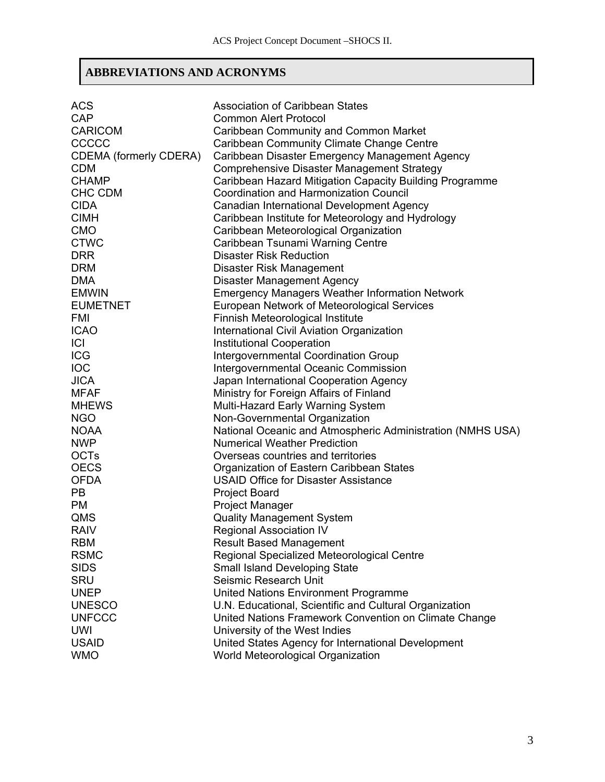# **ABBREVIATIONS AND ACRONYMS**

| <b>ACS</b>                    | <b>Association of Caribbean States</b>                     |
|-------------------------------|------------------------------------------------------------|
| <b>CAP</b>                    | <b>Common Alert Protocol</b>                               |
| <b>CARICOM</b>                | Caribbean Community and Common Market                      |
| CCCCC                         | Caribbean Community Climate Change Centre                  |
| <b>CDEMA (formerly CDERA)</b> | Caribbean Disaster Emergency Management Agency             |
| <b>CDM</b>                    | <b>Comprehensive Disaster Management Strategy</b>          |
| <b>CHAMP</b>                  | Caribbean Hazard Mitigation Capacity Building Programme    |
| CHC CDM                       | Coordination and Harmonization Council                     |
| <b>CIDA</b>                   | Canadian International Development Agency                  |
| <b>CIMH</b>                   | Caribbean Institute for Meteorology and Hydrology          |
| <b>CMO</b>                    | Caribbean Meteorological Organization                      |
| <b>CTWC</b>                   | Caribbean Tsunami Warning Centre                           |
| <b>DRR</b>                    | <b>Disaster Risk Reduction</b>                             |
| <b>DRM</b>                    | Disaster Risk Management                                   |
| <b>DMA</b>                    | <b>Disaster Management Agency</b>                          |
| <b>EMWIN</b>                  | <b>Emergency Managers Weather Information Network</b>      |
| <b>EUMETNET</b>               | European Network of Meteorological Services                |
| <b>FMI</b>                    | Finnish Meteorological Institute                           |
| <b>ICAO</b>                   | International Civil Aviation Organization                  |
| <b>ICI</b>                    | <b>Institutional Cooperation</b>                           |
| <b>ICG</b>                    | <b>Intergovernmental Coordination Group</b>                |
| <b>IOC</b>                    | Intergovernmental Oceanic Commission                       |
| <b>JICA</b>                   | Japan International Cooperation Agency                     |
| <b>MFAF</b>                   | Ministry for Foreign Affairs of Finland                    |
| <b>MHEWS</b>                  | Multi-Hazard Early Warning System                          |
| <b>NGO</b>                    | Non-Governmental Organization                              |
| <b>NOAA</b>                   | National Oceanic and Atmospheric Administration (NMHS USA) |
| <b>NWP</b>                    | <b>Numerical Weather Prediction</b>                        |
| <b>OCTs</b>                   | Overseas countries and territories                         |
| <b>OECS</b>                   | Organization of Eastern Caribbean States                   |
| <b>OFDA</b>                   | <b>USAID Office for Disaster Assistance</b>                |
| <b>PB</b>                     | <b>Project Board</b>                                       |
| <b>PM</b>                     | <b>Project Manager</b>                                     |
| QMS                           | <b>Quality Management System</b>                           |
| <b>RAIV</b>                   | <b>Regional Association IV</b>                             |
| <b>RBM</b>                    | <b>Result Based Management</b>                             |
| <b>RSMC</b>                   | Regional Specialized Meteorological Centre                 |
| <b>SIDS</b>                   | <b>Small Island Developing State</b>                       |
| SRU                           | Seismic Research Unit                                      |
| <b>UNEP</b>                   | United Nations Environment Programme                       |
| <b>UNESCO</b>                 | U.N. Educational, Scientific and Cultural Organization     |
| <b>UNFCCC</b>                 | United Nations Framework Convention on Climate Change      |
| <b>UWI</b>                    | University of the West Indies                              |
| <b>USAID</b>                  | United States Agency for International Development         |
| <b>WMO</b>                    | World Meteorological Organization                          |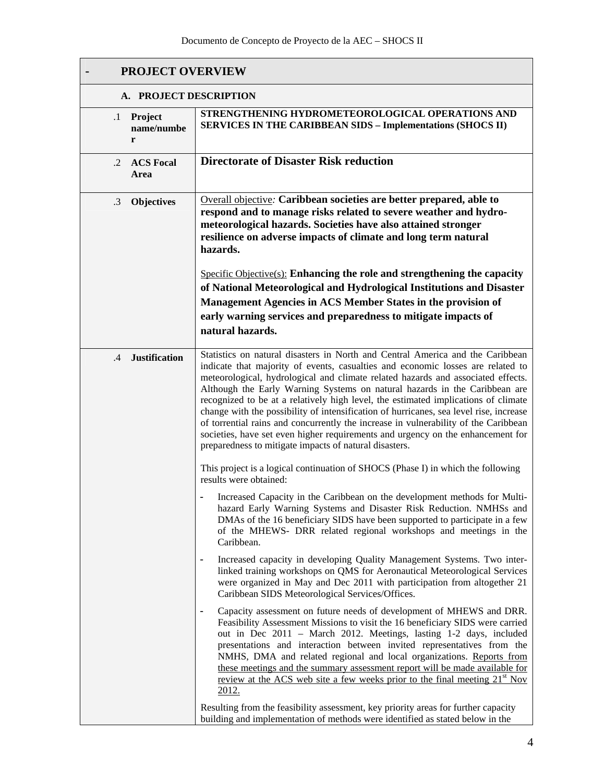| <b>PROJECT OVERVIEW</b>                 |                                                                                                                                                                                                                                                                                                                                                                                                                                                                                                                                                                                                                                                                                                                                                         |  |  |  |  |  |  |
|-----------------------------------------|---------------------------------------------------------------------------------------------------------------------------------------------------------------------------------------------------------------------------------------------------------------------------------------------------------------------------------------------------------------------------------------------------------------------------------------------------------------------------------------------------------------------------------------------------------------------------------------------------------------------------------------------------------------------------------------------------------------------------------------------------------|--|--|--|--|--|--|
| A. PROJECT DESCRIPTION                  |                                                                                                                                                                                                                                                                                                                                                                                                                                                                                                                                                                                                                                                                                                                                                         |  |  |  |  |  |  |
| Project<br>$\cdot$ 1<br>name/numbe<br>r | STRENGTHENING HYDROMETEOROLOGICAL OPERATIONS AND<br><b>SERVICES IN THE CARIBBEAN SIDS - Implementations (SHOCS II)</b>                                                                                                                                                                                                                                                                                                                                                                                                                                                                                                                                                                                                                                  |  |  |  |  |  |  |
| <b>ACS Focal</b><br>$\cdot$ .2<br>Area  | <b>Directorate of Disaster Risk reduction</b>                                                                                                                                                                                                                                                                                                                                                                                                                                                                                                                                                                                                                                                                                                           |  |  |  |  |  |  |
| <b>Objectives</b><br>$\cdot$ 3          | Overall objective: Caribbean societies are better prepared, able to<br>respond and to manage risks related to severe weather and hydro-<br>meteorological hazards. Societies have also attained stronger<br>resilience on adverse impacts of climate and long term natural<br>hazards.                                                                                                                                                                                                                                                                                                                                                                                                                                                                  |  |  |  |  |  |  |
|                                         | $Specific Objective(s)$ : Enhancing the role and strengthening the capacity<br>of National Meteorological and Hydrological Institutions and Disaster                                                                                                                                                                                                                                                                                                                                                                                                                                                                                                                                                                                                    |  |  |  |  |  |  |
|                                         | Management Agencies in ACS Member States in the provision of                                                                                                                                                                                                                                                                                                                                                                                                                                                                                                                                                                                                                                                                                            |  |  |  |  |  |  |
|                                         | early warning services and preparedness to mitigate impacts of<br>natural hazards.                                                                                                                                                                                                                                                                                                                                                                                                                                                                                                                                                                                                                                                                      |  |  |  |  |  |  |
|                                         |                                                                                                                                                                                                                                                                                                                                                                                                                                                                                                                                                                                                                                                                                                                                                         |  |  |  |  |  |  |
| <b>Justification</b><br>$\cdot$ 4       | Statistics on natural disasters in North and Central America and the Caribbean<br>indicate that majority of events, casualties and economic losses are related to<br>meteorological, hydrological and climate related hazards and associated effects.<br>Although the Early Warning Systems on natural hazards in the Caribbean are<br>recognized to be at a relatively high level, the estimated implications of climate<br>change with the possibility of intensification of hurricanes, sea level rise, increase<br>of torrential rains and concurrently the increase in vulnerability of the Caribbean<br>societies, have set even higher requirements and urgency on the enhancement for<br>preparedness to mitigate impacts of natural disasters. |  |  |  |  |  |  |
|                                         | This project is a logical continuation of SHOCS (Phase I) in which the following<br>results were obtained:                                                                                                                                                                                                                                                                                                                                                                                                                                                                                                                                                                                                                                              |  |  |  |  |  |  |
|                                         | - Increased Capacity in the Caribbean on the development methods for Multi-<br>hazard Early Warning Systems and Disaster Risk Reduction. NMHSs and<br>DMAs of the 16 beneficiary SIDS have been supported to participate in a few<br>of the MHEWS- DRR related regional workshops and meetings in the<br>Caribbean.                                                                                                                                                                                                                                                                                                                                                                                                                                     |  |  |  |  |  |  |
|                                         | Increased capacity in developing Quality Management Systems. Two inter-<br>linked training workshops on QMS for Aeronautical Meteorological Services<br>were organized in May and Dec 2011 with participation from altogether 21<br>Caribbean SIDS Meteorological Services/Offices.                                                                                                                                                                                                                                                                                                                                                                                                                                                                     |  |  |  |  |  |  |
|                                         | Capacity assessment on future needs of development of MHEWS and DRR.<br>Feasibility Assessment Missions to visit the 16 beneficiary SIDS were carried<br>out in Dec 2011 - March 2012. Meetings, lasting 1-2 days, included<br>presentations and interaction between invited representatives from the<br>NMHS, DMA and related regional and local organizations. Reports from<br>these meetings and the summary assessment report will be made available for<br><u>review at the ACS web site a few weeks prior to the final meeting <math>21st</math> Nov</u><br>2012.                                                                                                                                                                                 |  |  |  |  |  |  |
|                                         | Resulting from the feasibility assessment, key priority areas for further capacity<br>building and implementation of methods were identified as stated below in the                                                                                                                                                                                                                                                                                                                                                                                                                                                                                                                                                                                     |  |  |  |  |  |  |

 $\overline{\phantom{a}}$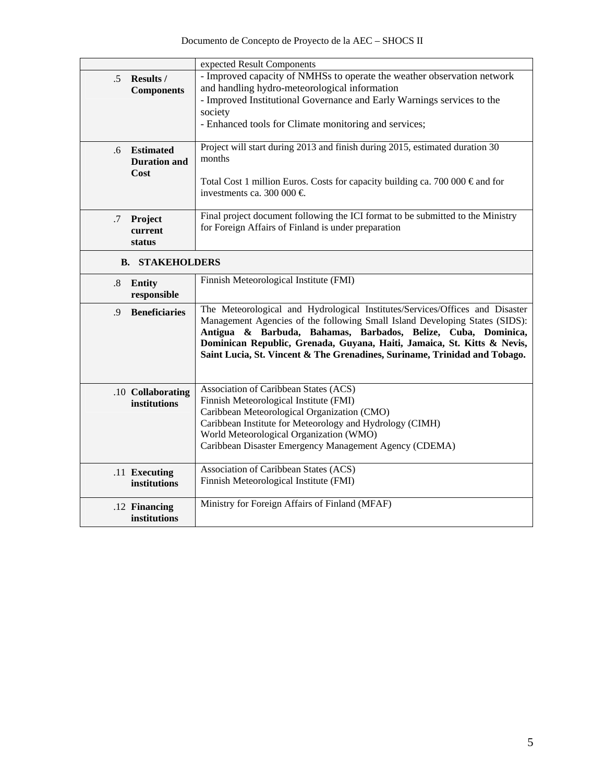|               |                        | expected Result Components                                                             |
|---------------|------------------------|----------------------------------------------------------------------------------------|
| .5 Results /  |                        | - Improved capacity of NMHSs to operate the weather observation network                |
|               | <b>Components</b>      | and handling hydro-meteorological information                                          |
|               |                        | - Improved Institutional Governance and Early Warnings services to the                 |
|               |                        | society                                                                                |
|               |                        | - Enhanced tools for Climate monitoring and services;                                  |
|               |                        |                                                                                        |
| .6            | <b>Estimated</b>       | Project will start during 2013 and finish during 2015, estimated duration 30           |
|               | <b>Duration and</b>    | months                                                                                 |
| Cost          |                        |                                                                                        |
|               |                        | Total Cost 1 million Euros. Costs for capacity building ca. 700 000 $\epsilon$ and for |
|               |                        | investments ca. 300 000 €                                                              |
|               |                        |                                                                                        |
| .7            | Project                | Final project document following the ICI format to be submitted to the Ministry        |
|               | current                | for Foreign Affairs of Finland is under preparation                                    |
| status        |                        |                                                                                        |
|               | <b>B. STAKEHOLDERS</b> |                                                                                        |
|               |                        |                                                                                        |
| Entity<br>.8  |                        | Finnish Meteorological Institute (FMI)                                                 |
|               | responsible            |                                                                                        |
| $\cdot$       | <b>Beneficiaries</b>   | The Meteorological and Hydrological Institutes/Services/Offices and Disaster           |
|               |                        | Management Agencies of the following Small Island Developing States (SIDS):            |
|               |                        | Antigua & Barbuda, Bahamas, Barbados, Belize, Cuba, Dominica,                          |
|               |                        | Dominican Republic, Grenada, Guyana, Haiti, Jamaica, St. Kitts & Nevis,                |
|               |                        | Saint Lucia, St. Vincent & The Grenadines, Suriname, Trinidad and Tobago.              |
|               |                        |                                                                                        |
|               |                        |                                                                                        |
|               | .10 Collaborating      | Association of Caribbean States (ACS)                                                  |
|               | institutions           | Finnish Meteorological Institute (FMI)                                                 |
|               |                        | Caribbean Meteorological Organization (CMO)                                            |
|               |                        | Caribbean Institute for Meteorology and Hydrology (CIMH)                               |
|               |                        | World Meteorological Organization (WMO)                                                |
|               |                        | Caribbean Disaster Emergency Management Agency (CDEMA)                                 |
| .11 Executing |                        | Association of Caribbean States (ACS)                                                  |
|               | institutions           | Finnish Meteorological Institute (FMI)                                                 |
|               |                        |                                                                                        |
| .12 Financing |                        | Ministry for Foreign Affairs of Finland (MFAF)                                         |
|               | institutions           |                                                                                        |
|               |                        |                                                                                        |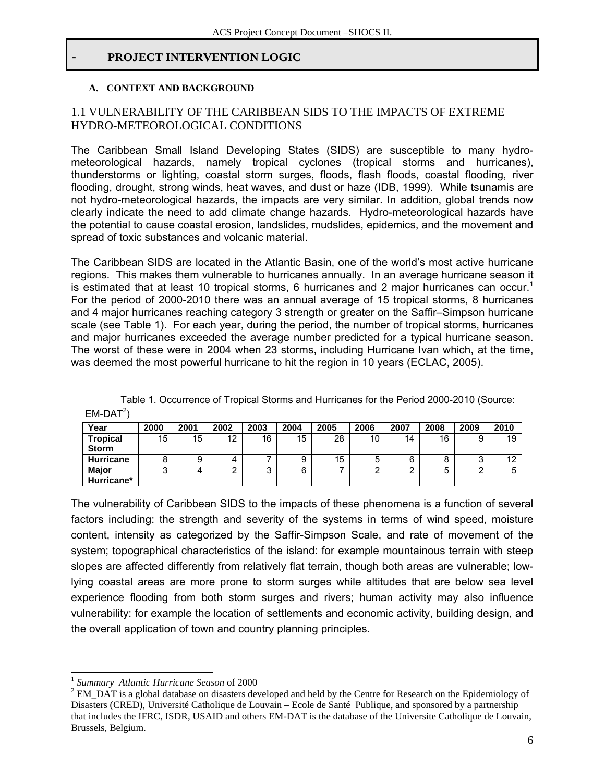#### - **PROJECT INTERVENTION LOGIC**

#### **A. CONTEXT AND BACKGROUND**

#### 1.1 VULNERABILITY OF THE CARIBBEAN SIDS TO THE IMPACTS OF EXTREME HYDRO-METEOROLOGICAL CONDITIONS

The Caribbean Small Island Developing States (SIDS) are susceptible to many hydrometeorological hazards, namely tropical cyclones (tropical storms and hurricanes), thunderstorms or lighting, coastal storm surges, floods, flash floods, coastal flooding, river flooding, drought, strong winds, heat waves, and dust or haze (IDB, 1999). While tsunamis are not hydro-meteorological hazards, the impacts are very similar. In addition, global trends now clearly indicate the need to add climate change hazards. Hydro-meteorological hazards have the potential to cause coastal erosion, landslides, mudslides, epidemics, and the movement and spread of toxic substances and volcanic material.

The Caribbean SIDS are located in the Atlantic Basin, one of the world's most active hurricane regions. This makes them vulnerable to hurricanes annually. In an average hurricane season it is estimated that at least 10 tropical storms, 6 hurricanes and 2 major hurricanes can occur.<sup>1</sup> For the period of 2000-2010 there was an annual average of 15 tropical storms, 8 hurricanes and 4 major hurricanes reaching category 3 strength or greater on the Saffir–Simpson hurricane scale (see Table 1). For each year, during the period, the number of tropical storms, hurricanes and major hurricanes exceeded the average number predicted for a typical hurricane season. The worst of these were in 2004 when 23 storms, including Hurricane Ivan which, at the time, was deemed the most powerful hurricane to hit the region in 10 years (ECLAC, 2005).

| -----            |      |      |      |        |      |      |        |        |      |      |        |
|------------------|------|------|------|--------|------|------|--------|--------|------|------|--------|
| Year             | 2000 | 2001 | 2002 | 2003   | 2004 | 2005 | 2006   | 2007   | 2008 | 2009 | 2010   |
| <b>Tropical</b>  | 15   | 15   | 12   | 16     | 15   | 28   | 10     | 14     | 16   | 9    | 19     |
| <b>Storm</b>     |      |      |      |        |      |      |        |        |      |      |        |
| <b>Hurricane</b> | 8    | 9    | д    |        | 9    | 15   | 5      | 6      | 8    | J    | $\sim$ |
| <b>Major</b>     | 3    | 4    | ⌒    | ◠<br>ν | 6    |      | ◠<br>▃ | ົ<br>_ | 5    | ⌒    |        |
| Hurricane*       |      |      |      |        |      |      |        |        |      |      |        |

Table 1. Occurrence of Tropical Storms and Hurricanes for the Period 2000-2010 (Source:  $EM-DAT<sup>2</sup>$ )

The vulnerability of Caribbean SIDS to the impacts of these phenomena is a function of several factors including: the strength and severity of the systems in terms of wind speed, moisture content, intensity as categorized by the Saffir-Simpson Scale, and rate of movement of the system; topographical characteristics of the island: for example mountainous terrain with steep slopes are affected differently from relatively flat terrain, though both areas are vulnerable; lowlying coastal areas are more prone to storm surges while altitudes that are below sea level experience flooding from both storm surges and rivers; human activity may also influence vulnerability: for example the location of settlements and economic activity, building design, and the overall application of town and country planning principles.

 $\overline{\phantom{a}}$ 

<sup>&</sup>lt;sup>1</sup> Summary Atlantic Hurricane Season of 2000

<sup>&</sup>lt;sup>2</sup> EM\_DAT is a global database on disasters developed and held by the Centre for Research on the Epidemiology of Disasters (CRED), Université Catholique de Louvain – Ecole de Santé Publique, and sponsored by a partnership that includes the IFRC, ISDR, USAID and others EM-DAT is the database of the Universite Catholique de Louvain, Brussels, Belgium.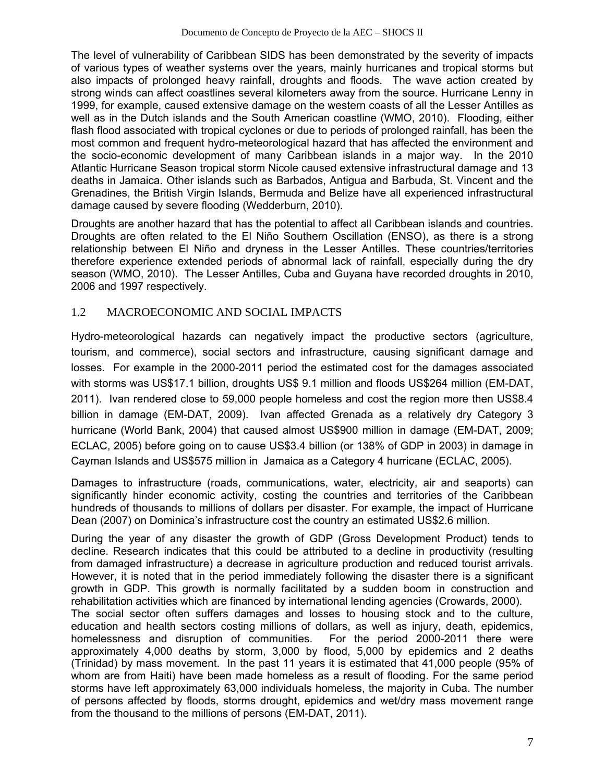The level of vulnerability of Caribbean SIDS has been demonstrated by the severity of impacts of various types of weather systems over the years, mainly hurricanes and tropical storms but also impacts of prolonged heavy rainfall, droughts and floods. The wave action created by strong winds can affect coastlines several kilometers away from the source. Hurricane Lenny in 1999, for example, caused extensive damage on the western coasts of all the Lesser Antilles as well as in the Dutch islands and the South American coastline (WMO, 2010). Flooding, either flash flood associated with tropical cyclones or due to periods of prolonged rainfall, has been the most common and frequent hydro-meteorological hazard that has affected the environment and the socio-economic development of many Caribbean islands in a major way. In the 2010 Atlantic Hurricane Season tropical storm Nicole caused extensive infrastructural damage and 13 deaths in Jamaica. Other islands such as Barbados, Antigua and Barbuda, St. Vincent and the Grenadines, the British Virgin Islands, Bermuda and Belize have all experienced infrastructural damage caused by severe flooding (Wedderburn, 2010).

Droughts are another hazard that has the potential to affect all Caribbean islands and countries. Droughts are often related to the El Niño Southern Oscillation (ENSO), as there is a strong relationship between El Niño and dryness in the Lesser Antilles. These countries/territories therefore experience extended periods of abnormal lack of rainfall, especially during the dry season (WMO, 2010). The Lesser Antilles, Cuba and Guyana have recorded droughts in 2010, 2006 and 1997 respectively.

## 1.2 MACROECONOMIC AND SOCIAL IMPACTS

Hydro-meteorological hazards can negatively impact the productive sectors (agriculture, tourism, and commerce), social sectors and infrastructure, causing significant damage and losses. For example in the 2000-2011 period the estimated cost for the damages associated with storms was US\$17.1 billion, droughts US\$ 9.1 million and floods US\$264 million (EM-DAT, 2011). Ivan rendered close to 59,000 people homeless and cost the region more then US\$8.4 billion in damage (EM-DAT, 2009). Ivan affected Grenada as a relatively dry Category 3 hurricane (World Bank, 2004) that caused almost US\$900 million in damage (EM-DAT, 2009; ECLAC, 2005) before going on to cause US\$3.4 billion (or 138% of GDP in 2003) in damage in Cayman Islands and US\$575 million in Jamaica as a Category 4 hurricane (ECLAC, 2005).

Damages to infrastructure (roads, communications, water, electricity, air and seaports) can significantly hinder economic activity, costing the countries and territories of the Caribbean hundreds of thousands to millions of dollars per disaster. For example, the impact of Hurricane Dean (2007) on Dominica's infrastructure cost the country an estimated US\$2.6 million.

During the year of any disaster the growth of GDP (Gross Development Product) tends to decline. Research indicates that this could be attributed to a decline in productivity (resulting from damaged infrastructure) a decrease in agriculture production and reduced tourist arrivals. However, it is noted that in the period immediately following the disaster there is a significant growth in GDP. This growth is normally facilitated by a sudden boom in construction and rehabilitation activities which are financed by international lending agencies (Crowards, 2000).

The social sector often suffers damages and losses to housing stock and to the culture, education and health sectors costing millions of dollars, as well as injury, death, epidemics, homelessness and disruption of communities. For the period 2000-2011 there were approximately 4,000 deaths by storm, 3,000 by flood, 5,000 by epidemics and 2 deaths (Trinidad) by mass movement. In the past 11 years it is estimated that 41,000 people (95% of whom are from Haiti) have been made homeless as a result of flooding. For the same period storms have left approximately 63,000 individuals homeless, the majority in Cuba. The number of persons affected by floods, storms drought, epidemics and wet/dry mass movement range from the thousand to the millions of persons (EM-DAT, 2011).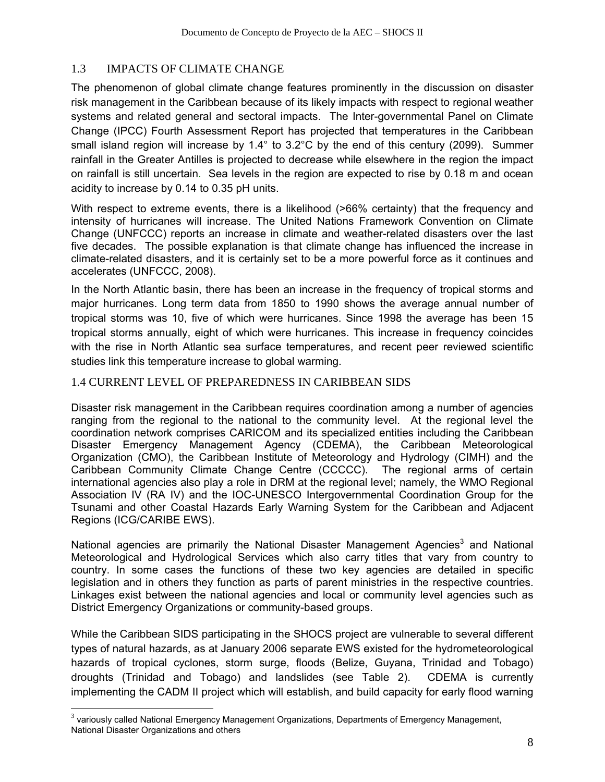## 1.3 IMPACTS OF CLIMATE CHANGE

The phenomenon of global climate change features prominently in the discussion on disaster risk management in the Caribbean because of its likely impacts with respect to regional weather systems and related general and sectoral impacts. The Inter-governmental Panel on Climate Change (IPCC) Fourth Assessment Report has projected that temperatures in the Caribbean small island region will increase by 1.4° to 3.2°C by the end of this century (2099). Summer rainfall in the Greater Antilles is projected to decrease while elsewhere in the region the impact on rainfall is still uncertain. Sea levels in the region are expected to rise by 0.18 m and ocean acidity to increase by 0.14 to 0.35 pH units.

With respect to extreme events, there is a likelihood (>66% certainty) that the frequency and intensity of hurricanes will increase. The United Nations Framework Convention on Climate Change (UNFCCC) reports an increase in climate and weather-related disasters over the last five decades. The possible explanation is that climate change has influenced the increase in climate-related disasters, and it is certainly set to be a more powerful force as it continues and accelerates (UNFCCC, 2008).

In the North Atlantic basin, there has been an increase in the frequency of tropical storms and major hurricanes. Long term data from 1850 to 1990 shows the average annual number of tropical storms was 10, five of which were hurricanes. Since 1998 the average has been 15 tropical storms annually, eight of which were hurricanes. This increase in frequency coincides with the rise in North Atlantic sea surface temperatures, and recent peer reviewed scientific studies link this temperature increase to global warming.

#### 1.4 CURRENT LEVEL OF PREPAREDNESS IN CARIBBEAN SIDS

Disaster risk management in the Caribbean requires coordination among a number of agencies ranging from the regional to the national to the community level. At the regional level the coordination network comprises CARICOM and its specialized entities including the Caribbean Disaster Emergency Management Agency (CDEMA), the Caribbean Meteorological Organization (CMO), the Caribbean Institute of Meteorology and Hydrology (CIMH) and the Caribbean Community Climate Change Centre (CCCCC). The regional arms of certain international agencies also play a role in DRM at the regional level; namely, the WMO Regional Association IV (RA IV) and the IOC-UNESCO Intergovernmental Coordination Group for the Tsunami and other Coastal Hazards Early Warning System for the Caribbean and Adjacent Regions (ICG/CARIBE EWS).

National agencies are primarily the National Disaster Management Agencies<sup>3</sup> and National Meteorological and Hydrological Services which also carry titles that vary from country to country. In some cases the functions of these two key agencies are detailed in specific legislation and in others they function as parts of parent ministries in the respective countries. Linkages exist between the national agencies and local or community level agencies such as District Emergency Organizations or community-based groups.

While the Caribbean SIDS participating in the SHOCS project are vulnerable to several different types of natural hazards, as at January 2006 separate EWS existed for the hydrometeorological hazards of tropical cyclones, storm surge, floods (Belize, Guyana, Trinidad and Tobago) droughts (Trinidad and Tobago) and landslides (see Table 2). CDEMA is currently implementing the CADM II project which will establish, and build capacity for early flood warning

 $\overline{\phantom{a}}$ 

 $3$  variously called National Emergency Management Organizations, Departments of Emergency Management, National Disaster Organizations and others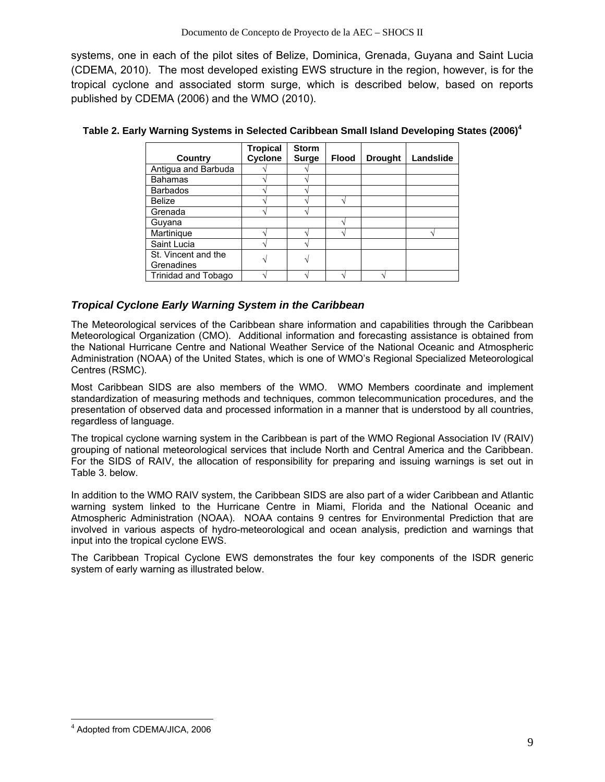systems, one in each of the pilot sites of Belize, Dominica, Grenada, Guyana and Saint Lucia (CDEMA, 2010). The most developed existing EWS structure in the region, however, is for the tropical cyclone and associated storm surge, which is described below, based on reports published by CDEMA (2006) and the WMO (2010).

|                     | <b>Tropical</b> | <b>Storm</b> |       |                |           |
|---------------------|-----------------|--------------|-------|----------------|-----------|
| Country             | Cyclone         | <b>Surge</b> | Flood | <b>Drought</b> | Landslide |
| Antigua and Barbuda |                 |              |       |                |           |
| <b>Bahamas</b>      |                 |              |       |                |           |
| <b>Barbados</b>     |                 |              |       |                |           |
| Belize              |                 |              |       |                |           |
| Grenada             |                 |              |       |                |           |
| Guvana              |                 |              |       |                |           |
| Martinique          |                 |              |       |                |           |
| Saint Lucia         |                 |              |       |                |           |
| St. Vincent and the |                 |              |       |                |           |
| Grenadines          |                 |              |       |                |           |
| Trinidad and Tobago |                 |              |       |                |           |

#### **Table 2. Early Warning Systems in Selected Caribbean Small Island Developing States (2006)<sup>4</sup>**

#### *Tropical Cyclone Early Warning System in the Caribbean*

The Meteorological services of the Caribbean share information and capabilities through the Caribbean Meteorological Organization (CMO). Additional information and forecasting assistance is obtained from the National Hurricane Centre and National Weather Service of the National Oceanic and Atmospheric Administration (NOAA) of the United States, which is one of WMO's Regional Specialized Meteorological Centres (RSMC).

Most Caribbean SIDS are also members of the WMO. WMO Members coordinate and implement standardization of measuring methods and techniques, common telecommunication procedures, and the presentation of observed data and processed information in a manner that is understood by all countries, regardless of language.

The tropical cyclone warning system in the Caribbean is part of the WMO Regional Association IV (RAIV) grouping of national meteorological services that include North and Central America and the Caribbean. For the SIDS of RAIV, the allocation of responsibility for preparing and issuing warnings is set out in Table 3. below.

In addition to the WMO RAIV system, the Caribbean SIDS are also part of a wider Caribbean and Atlantic warning system linked to the Hurricane Centre in Miami, Florida and the National Oceanic and Atmospheric Administration (NOAA). NOAA contains 9 centres for Environmental Prediction that are involved in various aspects of hydro-meteorological and ocean analysis, prediction and warnings that input into the tropical cyclone EWS.

The Caribbean Tropical Cyclone EWS demonstrates the four key components of the ISDR generic system of early warning as illustrated below.

-

<sup>4</sup> Adopted from CDEMA/JICA, 2006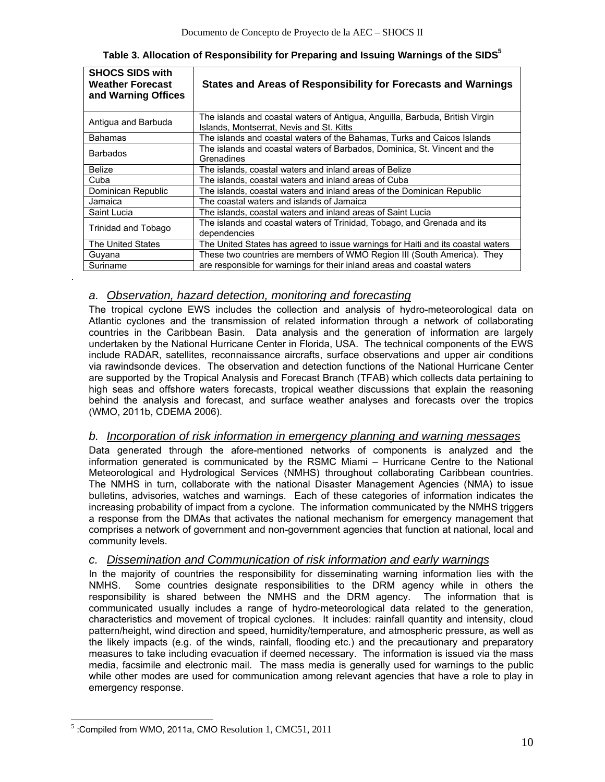| <b>SHOCS SIDS with</b><br><b>Weather Forecast</b><br>and Warning Offices | States and Areas of Responsibility for Forecasts and Warnings                                                            |
|--------------------------------------------------------------------------|--------------------------------------------------------------------------------------------------------------------------|
| Antigua and Barbuda                                                      | The islands and coastal waters of Antigua, Anguilla, Barbuda, British Virgin<br>Islands, Montserrat, Nevis and St. Kitts |
| <b>Bahamas</b>                                                           | The islands and coastal waters of the Bahamas, Turks and Caicos Islands                                                  |
| <b>Barbados</b>                                                          | The islands and coastal waters of Barbados, Dominica, St. Vincent and the<br>Grenadines                                  |
| Belize                                                                   | The islands, coastal waters and inland areas of Belize                                                                   |
| Cuba                                                                     | The islands, coastal waters and inland areas of Cuba                                                                     |
| Dominican Republic                                                       | The islands, coastal waters and inland areas of the Dominican Republic                                                   |
| Jamaica                                                                  | The coastal waters and islands of Jamaica                                                                                |
| Saint Lucia                                                              | The islands, coastal waters and inland areas of Saint Lucia                                                              |
| Trinidad and Tobago                                                      | The islands and coastal waters of Trinidad, Tobago, and Grenada and its<br>dependencies                                  |
| The United States                                                        | The United States has agreed to issue warnings for Haiti and its coastal waters                                          |
| Guyana                                                                   | These two countries are members of WMO Region III (South America). They                                                  |
| Suriname                                                                 | are responsible for warnings for their inland areas and coastal waters                                                   |

## *a. Observation, hazard detection, monitoring and forecasting*

.

The tropical cyclone EWS includes the collection and analysis of hydro-meteorological data on Atlantic cyclones and the transmission of related information through a network of collaborating countries in the Caribbean Basin. Data analysis and the generation of information are largely undertaken by the National Hurricane Center in Florida, USA. The technical components of the EWS include RADAR, satellites, reconnaissance aircrafts, surface observations and upper air conditions via rawindsonde devices. The observation and detection functions of the National Hurricane Center are supported by the Tropical Analysis and Forecast Branch (TFAB) which collects data pertaining to high seas and offshore waters forecasts, tropical weather discussions that explain the reasoning behind the analysis and forecast, and surface weather analyses and forecasts over the tropics (WMO, 2011b, CDEMA 2006).

## *b. Incorporation of risk information in emergency planning and warning messages*

Data generated through the afore-mentioned networks of components is analyzed and the information generated is communicated by the RSMC Miami – Hurricane Centre to the National Meteorological and Hydrological Services (NMHS) throughout collaborating Caribbean countries. The NMHS in turn, collaborate with the national Disaster Management Agencies (NMA) to issue bulletins, advisories, watches and warnings. Each of these categories of information indicates the increasing probability of impact from a cyclone. The information communicated by the NMHS triggers a response from the DMAs that activates the national mechanism for emergency management that comprises a network of government and non-government agencies that function at national, local and community levels.

## *c. Dissemination and Communication of risk information and early warnings*

In the majority of countries the responsibility for disseminating warning information lies with the NMHS. Some countries designate responsibilities to the DRM agency while in others the responsibility is shared between the NMHS and the DRM agency. The information that is communicated usually includes a range of hydro-meteorological data related to the generation, characteristics and movement of tropical cyclones. It includes: rainfall quantity and intensity, cloud pattern/height, wind direction and speed, humidity/temperature, and atmospheric pressure, as well as the likely impacts (e.g. of the winds, rainfall, flooding etc.) and the precautionary and preparatory measures to take including evacuation if deemed necessary. The information is issued via the mass media, facsimile and electronic mail. The mass media is generally used for warnings to the public while other modes are used for communication among relevant agencies that have a role to play in emergency response.

 $\overline{\phantom{a}}$  $<sup>5</sup>$ :Compiled from WMO, 2011a, CMO Resolution 1, CMC51, 2011</sup>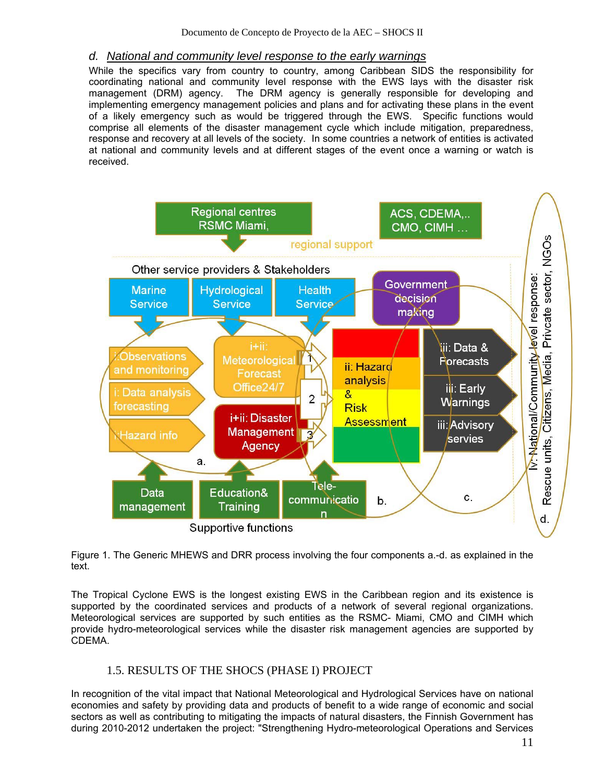#### *d. National and community level response to the early warnings*

While the specifics vary from country to country, among Caribbean SIDS the responsibility for coordinating national and community level response with the EWS lays with the disaster risk management (DRM) agency. The DRM agency is generally responsible for developing and implementing emergency management policies and plans and for activating these plans in the event of a likely emergency such as would be triggered through the EWS. Specific functions would comprise all elements of the disaster management cycle which include mitigation, preparedness, response and recovery at all levels of the society. In some countries a network of entities is activated at national and community levels and at different stages of the event once a warning or watch is received.



Figure 1. The Generic MHEWS and DRR process involving the four components a.-d. as explained in the text.

The Tropical Cyclone EWS is the longest existing EWS in the Caribbean region and its existence is supported by the coordinated services and products of a network of several regional organizations. Meteorological services are supported by such entities as the RSMC- Miami, CMO and CIMH which provide hydro-meteorological services while the disaster risk management agencies are supported by CDEMA.

#### 1.5. RESULTS OF THE SHOCS (PHASE I) PROJECT

In recognition of the vital impact that National Meteorological and Hydrological Services have on national economies and safety by providing data and products of benefit to a wide range of economic and social sectors as well as contributing to mitigating the impacts of natural disasters, the Finnish Government has during 2010-2012 undertaken the project: "Strengthening Hydro-meteorological Operations and Services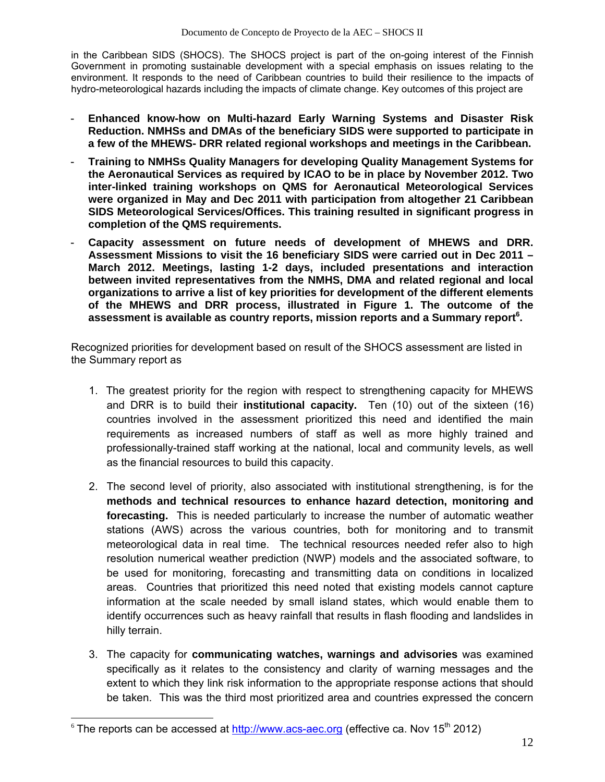in the Caribbean SIDS (SHOCS). The SHOCS project is part of the on-going interest of the Finnish Government in promoting sustainable development with a special emphasis on issues relating to the environment. It responds to the need of Caribbean countries to build their resilience to the impacts of hydro-meteorological hazards including the impacts of climate change. Key outcomes of this project are

- **Enhanced know-how on Multi-hazard Early Warning Systems and Disaster Risk Reduction. NMHSs and DMAs of the beneficiary SIDS were supported to participate in a few of the MHEWS- DRR related regional workshops and meetings in the Caribbean.**
- **Training to NMHSs Quality Managers for developing Quality Management Systems for the Aeronautical Services as required by ICAO to be in place by November 2012. Two inter-linked training workshops on QMS for Aeronautical Meteorological Services were organized in May and Dec 2011 with participation from altogether 21 Caribbean SIDS Meteorological Services/Offices. This training resulted in significant progress in completion of the QMS requirements.**
- **Capacity assessment on future needs of development of MHEWS and DRR. Assessment Missions to visit the 16 beneficiary SIDS were carried out in Dec 2011 – March 2012. Meetings, lasting 1-2 days, included presentations and interaction between invited representatives from the NMHS, DMA and related regional and local organizations to arrive a list of key priorities for development of the different elements of the MHEWS and DRR process, illustrated in Figure 1. The outcome of the**  assessment is available as country reports, mission reports and a Summary report<sup>6</sup>.

Recognized priorities for development based on result of the SHOCS assessment are listed in the Summary report as

- 1. The greatest priority for the region with respect to strengthening capacity for MHEWS and DRR is to build their **institutional capacity.** Ten (10) out of the sixteen (16) countries involved in the assessment prioritized this need and identified the main requirements as increased numbers of staff as well as more highly trained and professionally-trained staff working at the national, local and community levels, as well as the financial resources to build this capacity.
- 2. The second level of priority, also associated with institutional strengthening, is for the **methods and technical resources to enhance hazard detection, monitoring and forecasting.** This is needed particularly to increase the number of automatic weather stations (AWS) across the various countries, both for monitoring and to transmit meteorological data in real time. The technical resources needed refer also to high resolution numerical weather prediction (NWP) models and the associated software, to be used for monitoring, forecasting and transmitting data on conditions in localized areas. Countries that prioritized this need noted that existing models cannot capture information at the scale needed by small island states, which would enable them to identify occurrences such as heavy rainfall that results in flash flooding and landslides in hilly terrain.
- 3. The capacity for **communicating watches, warnings and advisories** was examined specifically as it relates to the consistency and clarity of warning messages and the extent to which they link risk information to the appropriate response actions that should be taken. This was the third most prioritized area and countries expressed the concern

 $\overline{\phantom{a}}$ 

 $6$  The reports can be accessed at http://www.acs-aec.org (effective ca. Nov 15<sup>th</sup> 2012)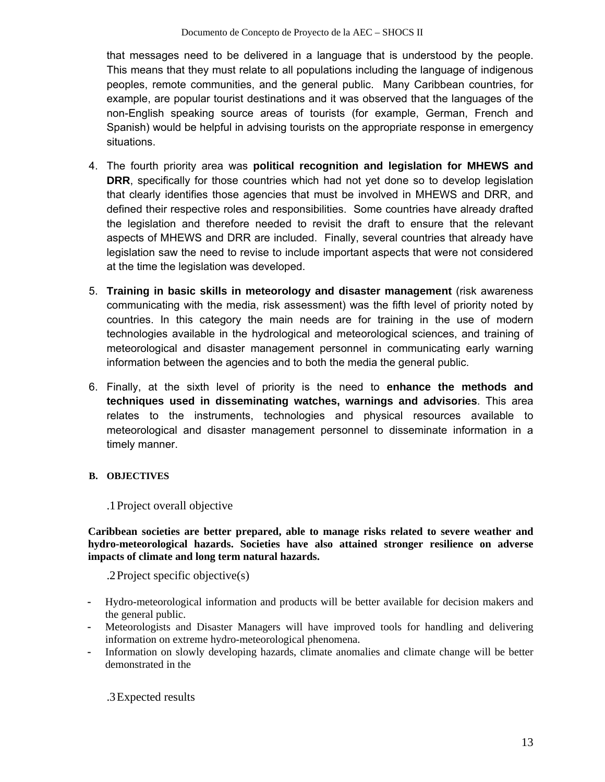that messages need to be delivered in a language that is understood by the people. This means that they must relate to all populations including the language of indigenous peoples, remote communities, and the general public. Many Caribbean countries, for example, are popular tourist destinations and it was observed that the languages of the non-English speaking source areas of tourists (for example, German, French and Spanish) would be helpful in advising tourists on the appropriate response in emergency situations.

- 4. The fourth priority area was **political recognition and legislation for MHEWS and DRR**, specifically for those countries which had not yet done so to develop legislation that clearly identifies those agencies that must be involved in MHEWS and DRR, and defined their respective roles and responsibilities. Some countries have already drafted the legislation and therefore needed to revisit the draft to ensure that the relevant aspects of MHEWS and DRR are included. Finally, several countries that already have legislation saw the need to revise to include important aspects that were not considered at the time the legislation was developed.
- 5. **Training in basic skills in meteorology and disaster management** (risk awareness communicating with the media, risk assessment) was the fifth level of priority noted by countries. In this category the main needs are for training in the use of modern technologies available in the hydrological and meteorological sciences, and training of meteorological and disaster management personnel in communicating early warning information between the agencies and to both the media the general public.
- 6. Finally, at the sixth level of priority is the need to **enhance the methods and techniques used in disseminating watches, warnings and advisories**. This area relates to the instruments, technologies and physical resources available to meteorological and disaster management personnel to disseminate information in a timely manner.

#### **B. OBJECTIVES**

#### .1Project overall objective

**Caribbean societies are better prepared, able to manage risks related to severe weather and hydro-meteorological hazards. Societies have also attained stronger resilience on adverse impacts of climate and long term natural hazards.**

.2Project specific objective(s)

- Hydro-meteorological information and products will be better available for decision makers and the general public.
- Meteorologists and Disaster Managers will have improved tools for handling and delivering information on extreme hydro-meteorological phenomena.
- Information on slowly developing hazards, climate anomalies and climate change will be better demonstrated in the

.3Expected results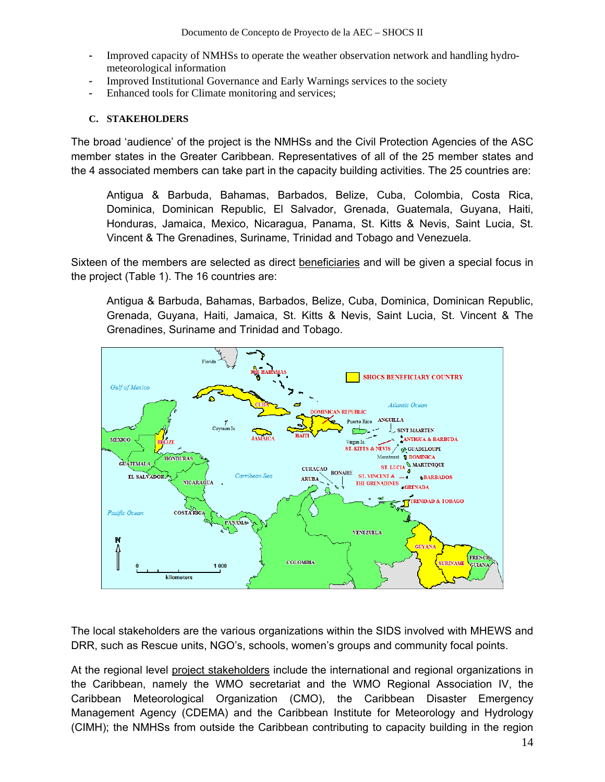- Improved capacity of NMHSs to operate the weather observation network and handling hydrometeorological information
- Improved Institutional Governance and Early Warnings services to the society
- Enhanced tools for Climate monitoring and services;

#### **C. STAKEHOLDERS**

The broad 'audience' of the project is the NMHSs and the Civil Protection Agencies of the ASC member states in the Greater Caribbean. Representatives of all of the 25 member states and the 4 associated members can take part in the capacity building activities. The 25 countries are:

Antigua & Barbuda, Bahamas, Barbados, Belize, Cuba, Colombia, Costa Rica, Dominica, Dominican Republic, El Salvador, Grenada, Guatemala, Guyana, Haiti, Honduras, Jamaica, Mexico, Nicaragua, Panama, St. Kitts & Nevis, Saint Lucia, St. Vincent & The Grenadines, Suriname, Trinidad and Tobago and Venezuela.

Sixteen of the members are selected as direct beneficiaries and will be given a special focus in the project (Table 1). The 16 countries are:

Antigua & Barbuda, Bahamas, Barbados, Belize, Cuba, Dominica, Dominican Republic, Grenada, Guyana, Haiti, Jamaica, St. Kitts & Nevis, Saint Lucia, St. Vincent & The Grenadines, Suriname and Trinidad and Tobago.



The local stakeholders are the various organizations within the SIDS involved with MHEWS and DRR, such as Rescue units, NGO's, schools, women's groups and community focal points.

At the regional level project stakeholders include the international and regional organizations in the Caribbean, namely the WMO secretariat and the WMO Regional Association IV, the Caribbean Meteorological Organization (CMO), the Caribbean Disaster Emergency Management Agency (CDEMA) and the Caribbean Institute for Meteorology and Hydrology (CIMH); the NMHSs from outside the Caribbean contributing to capacity building in the region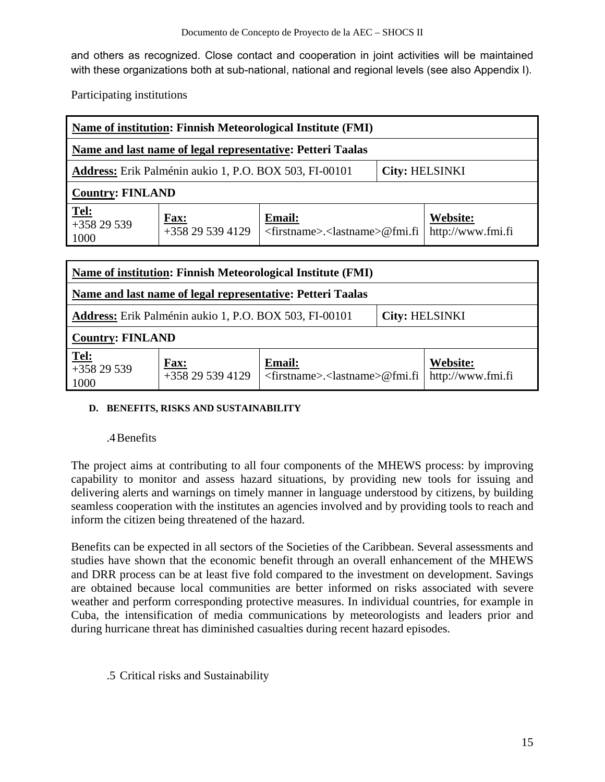and others as recognized. Close contact and cooperation in joint activities will be maintained with these organizations both at sub-national, national and regional levels (see also Appendix I).

Participating institutions

| Name of institution: Finnish Meteorological Institute (FMI)                            |                                |                                                                   |  |                               |
|----------------------------------------------------------------------------------------|--------------------------------|-------------------------------------------------------------------|--|-------------------------------|
| Name and last name of legal representative: Petteri Taalas                             |                                |                                                                   |  |                               |
| <b>Address:</b> Erik Palménin aukio 1, P.O. BOX 503, FI-00101<br><b>City: HELSINKI</b> |                                |                                                                   |  |                               |
| <b>Country: FINLAND</b>                                                                |                                |                                                                   |  |                               |
| $\frac{\text{Tel:}}{+358\ 29\ 539}$<br>1000                                            | <b>Fax:</b><br>$+358295394129$ | <b>Email:</b><br>$\langle$ firstname>. $\langle$ lastname>@fmi.fi |  | Website:<br>http://www.fmi.fi |

| Name of institution: Finnish Meteorological Institute (FMI) |                                                                                        |                                                                   |  |                               |  |  |
|-------------------------------------------------------------|----------------------------------------------------------------------------------------|-------------------------------------------------------------------|--|-------------------------------|--|--|
| Name and last name of legal representative: Petteri Taalas  |                                                                                        |                                                                   |  |                               |  |  |
|                                                             | <b>Address:</b> Erik Palménin aukio 1, P.O. BOX 503, FI-00101<br><b>City: HELSINKI</b> |                                                                   |  |                               |  |  |
| <b>Country: FINLAND</b>                                     |                                                                                        |                                                                   |  |                               |  |  |
| $Tel:+358 29 539$<br>1000                                   | <b>Fax:</b><br>+358 29 539 4129                                                        | <b>Email:</b><br>$\langle$ firstname>. $\langle$ lastname>@fmi.fi |  | Website:<br>http://www.fmi.fi |  |  |

#### **D. BENEFITS, RISKS AND SUSTAINABILITY**

#### .4Benefits

The project aims at contributing to all four components of the MHEWS process: by improving capability to monitor and assess hazard situations, by providing new tools for issuing and delivering alerts and warnings on timely manner in language understood by citizens, by building seamless cooperation with the institutes an agencies involved and by providing tools to reach and inform the citizen being threatened of the hazard.

Benefits can be expected in all sectors of the Societies of the Caribbean. Several assessments and studies have shown that the economic benefit through an overall enhancement of the MHEWS and DRR process can be at least five fold compared to the investment on development. Savings are obtained because local communities are better informed on risks associated with severe weather and perform corresponding protective measures. In individual countries, for example in Cuba, the intensification of media communications by meteorologists and leaders prior and during hurricane threat has diminished casualties during recent hazard episodes.

.5 Critical risks and Sustainability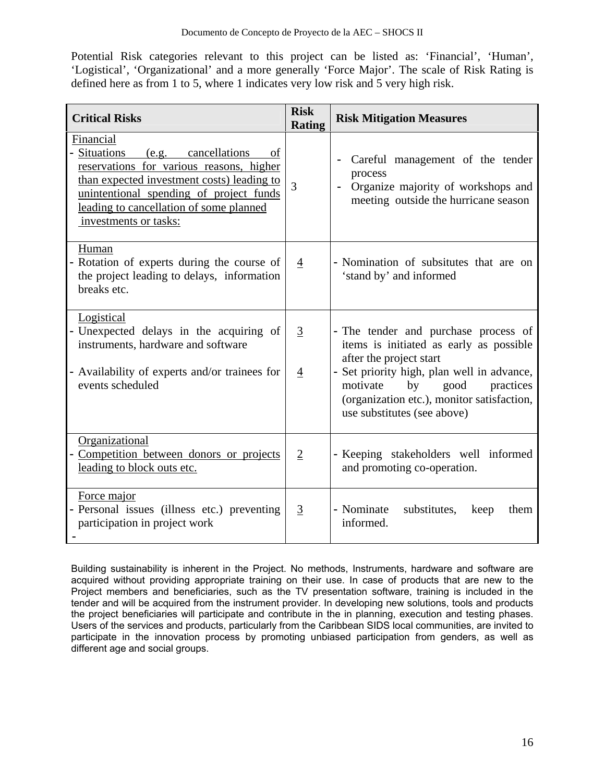Potential Risk categories relevant to this project can be listed as: 'Financial', 'Human', 'Logistical', 'Organizational' and a more generally 'Force Major'. The scale of Risk Rating is defined here as from 1 to 5, where 1 indicates very low risk and 5 very high risk.

| <b>Critical Risks</b>                                                                                                                                                                                                                                          | <b>Risk</b><br><b>Rating</b>     | <b>Risk Mitigation Measures</b>                                                                                                                                                                                                                                              |
|----------------------------------------------------------------------------------------------------------------------------------------------------------------------------------------------------------------------------------------------------------------|----------------------------------|------------------------------------------------------------------------------------------------------------------------------------------------------------------------------------------------------------------------------------------------------------------------------|
| Financial<br>Situations<br>(e.g. cancellations)<br>of<br>reservations for various reasons, higher<br>than expected investment costs) leading to<br>unintentional spending of project funds<br>leading to cancellation of some planned<br>investments or tasks: | $\overline{3}$                   | Careful management of the tender<br>process<br>Organize majority of workshops and<br>meeting outside the hurricane season                                                                                                                                                    |
| Human<br>Rotation of experts during the course of<br>the project leading to delays, information<br>breaks etc.                                                                                                                                                 | $\overline{4}$                   | - Nomination of subsitutes that are on<br>'stand by' and informed                                                                                                                                                                                                            |
| Logistical<br>- Unexpected delays in the acquiring of<br>instruments, hardware and software<br>Availability of experts and/or trainees for<br>events scheduled                                                                                                 | $\overline{3}$<br>$\overline{4}$ | - The tender and purchase process of<br>items is initiated as early as possible<br>after the project start<br>- Set priority high, plan well in advance,<br>motivate<br>by<br>good<br>practices<br>(organization etc.), monitor satisfaction,<br>use substitutes (see above) |
| Organizational<br>Competition between donors or projects<br>leading to block outs etc.                                                                                                                                                                         | $\overline{2}$                   | - Keeping stakeholders well informed<br>and promoting co-operation.                                                                                                                                                                                                          |
| Force major<br>Personal issues (illness etc.) preventing<br>participation in project work                                                                                                                                                                      | $\overline{3}$                   | - Nominate<br>substitutes,<br>keep<br>them<br>informed.                                                                                                                                                                                                                      |

Building sustainability is inherent in the Project. No methods, Instruments, hardware and software are acquired without providing appropriate training on their use. In case of products that are new to the Project members and beneficiaries, such as the TV presentation software, training is included in the tender and will be acquired from the instrument provider. In developing new solutions, tools and products the project beneficiaries will participate and contribute in the in planning, execution and testing phases. Users of the services and products, particularly from the Caribbean SIDS local communities, are invited to participate in the innovation process by promoting unbiased participation from genders, as well as different age and social groups.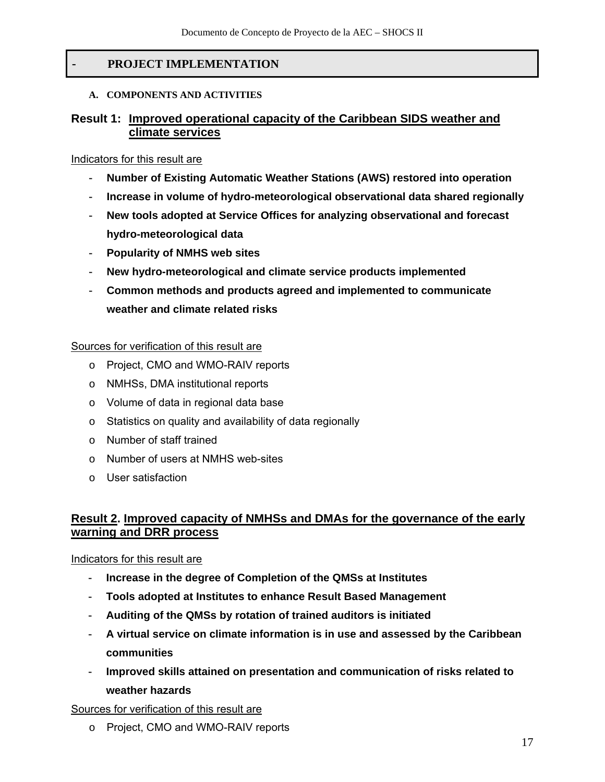## - **PROJECT IMPLEMENTATION**

#### **A. COMPONENTS AND ACTIVITIES**

#### **Result 1: Improved operational capacity of the Caribbean SIDS weather and climate services**

#### Indicators for this result are

- **Number of Existing Automatic Weather Stations (AWS) restored into operation**
- **Increase in volume of hydro-meteorological observational data shared regionally**
- **New tools adopted at Service Offices for analyzing observational and forecast hydro-meteorological data**
- **Popularity of NMHS web sites**
- **New hydro-meteorological and climate service products implemented**
- **Common methods and products agreed and implemented to communicate weather and climate related risks**

#### Sources for verification of this result are

- o Project, CMO and WMO-RAIV reports
- o NMHSs, DMA institutional reports
- o Volume of data in regional data base
- o Statistics on quality and availability of data regionally
- o Number of staff trained
- o Number of users at NMHS web-sites
- o User satisfaction

## **Result 2. Improved capacity of NMHSs and DMAs for the governance of the early warning and DRR process**

#### Indicators for this result are

- **Increase in the degree of Completion of the QMSs at Institutes**
- **Tools adopted at Institutes to enhance Result Based Management**
- **Auditing of the QMSs by rotation of trained auditors is initiated**
- **A virtual service on climate information is in use and assessed by the Caribbean communities**
- **Improved skills attained on presentation and communication of risks related to weather hazards**

Sources for verification of this result are

o Project, CMO and WMO-RAIV reports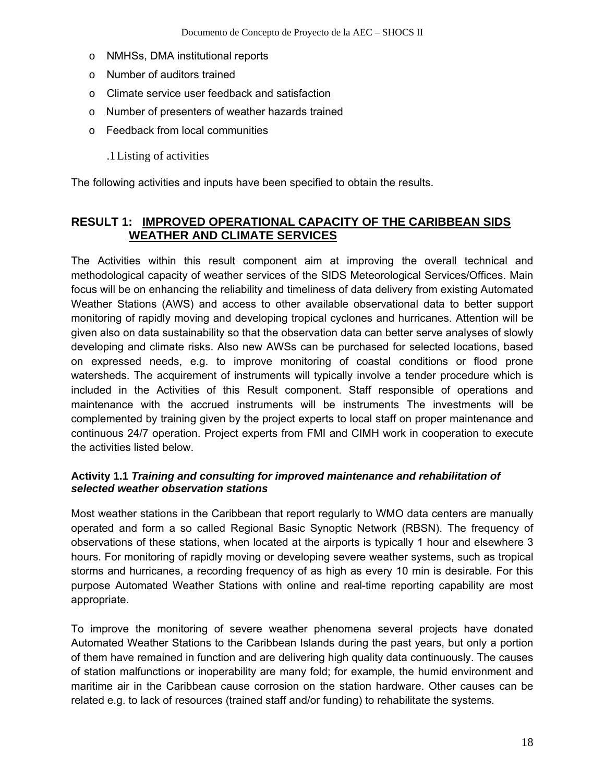- o NMHSs, DMA institutional reports
- o Number of auditors trained
- o Climate service user feedback and satisfaction
- o Number of presenters of weather hazards trained
- o Feedback from local communities
	- .1Listing of activities

The following activities and inputs have been specified to obtain the results.

## **RESULT 1: IMPROVED OPERATIONAL CAPACITY OF THE CARIBBEAN SIDS WEATHER AND CLIMATE SERVICES**

The Activities within this result component aim at improving the overall technical and methodological capacity of weather services of the SIDS Meteorological Services/Offices. Main focus will be on enhancing the reliability and timeliness of data delivery from existing Automated Weather Stations (AWS) and access to other available observational data to better support monitoring of rapidly moving and developing tropical cyclones and hurricanes. Attention will be given also on data sustainability so that the observation data can better serve analyses of slowly developing and climate risks. Also new AWSs can be purchased for selected locations, based on expressed needs, e.g. to improve monitoring of coastal conditions or flood prone watersheds. The acquirement of instruments will typically involve a tender procedure which is included in the Activities of this Result component. Staff responsible of operations and maintenance with the accrued instruments will be instruments The investments will be complemented by training given by the project experts to local staff on proper maintenance and continuous 24/7 operation. Project experts from FMI and CIMH work in cooperation to execute the activities listed below.

#### **Activity 1.1** *Training and consulting for improved maintenance and rehabilitation of selected weather observation stations*

Most weather stations in the Caribbean that report regularly to WMO data centers are manually operated and form a so called Regional Basic Synoptic Network (RBSN). The frequency of observations of these stations, when located at the airports is typically 1 hour and elsewhere 3 hours. For monitoring of rapidly moving or developing severe weather systems, such as tropical storms and hurricanes, a recording frequency of as high as every 10 min is desirable. For this purpose Automated Weather Stations with online and real-time reporting capability are most appropriate.

To improve the monitoring of severe weather phenomena several projects have donated Automated Weather Stations to the Caribbean Islands during the past years, but only a portion of them have remained in function and are delivering high quality data continuously. The causes of station malfunctions or inoperability are many fold; for example, the humid environment and maritime air in the Caribbean cause corrosion on the station hardware. Other causes can be related e.g. to lack of resources (trained staff and/or funding) to rehabilitate the systems.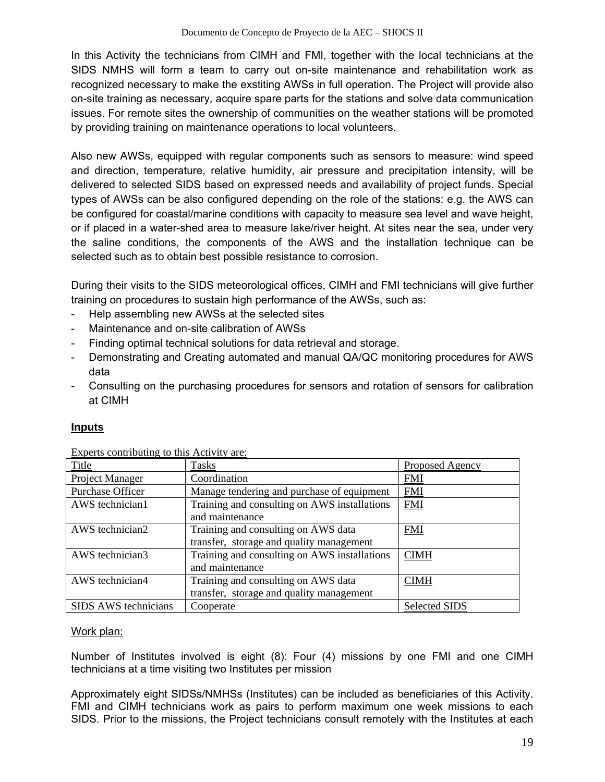In this Activity the technicians from CIMH and FMI, together with the local technicians at the SIDS NMHS will form a team to carry out on-site maintenance and rehabilitation work as recognized necessary to make the exstiting AWSs in full operation. The Project will provide also on-site training as necessary, acquire spare parts for the stations and solve data communication issues. For remote sites the ownership of communities on the weather stations will be promoted by providing training on maintenance operations to local volunteers.

Also new AWSs, equipped with regular components such as sensors to measure: wind speed and direction, temperature, relative humidity, air pressure and precipitation intensity, will be delivered to selected SIDS based on expressed needs and availability of project funds. Special types of AWSs can be also configured depending on the role of the stations: e.g. the AWS can be configured for coastal/marine conditions with capacity to measure sea level and wave height, or if placed in a water-shed area to measure lake/river height. At sites near the sea, under very the saline conditions, the components of the AWS and the installation technique can be selected such as to obtain best possible resistance to corrosion.

During their visits to the SIDS meteorological offices, CIMH and FMI technicians will give further training on procedures to sustain high performance of the AWSs, such as:

- Help assembling new AWSs at the selected sites
- Maintenance and on-site calibration of AWSs
- Finding optimal technical solutions for data retrieval and storage.
- Demonstrating and Creating automated and manual QA/QC monitoring procedures for AWS data
- Consulting on the purchasing procedures for sensors and rotation of sensors for calibration at CIMH

## **Inputs**

| $L$ <i>Aperto contributing to this ricit <math>\pi</math>, are:</i> |                                              |                      |
|---------------------------------------------------------------------|----------------------------------------------|----------------------|
| Title                                                               | <b>Tasks</b>                                 | Proposed Agency      |
| Project Manager                                                     | Coordination                                 | <b>FMI</b>           |
| Purchase Officer                                                    | Manage tendering and purchase of equipment   | <b>FMI</b>           |
| AWS technician1                                                     | Training and consulting on AWS installations | <b>FMI</b>           |
|                                                                     | and maintenance                              |                      |
| AWS technician2                                                     | Training and consulting on AWS data          | <b>FMI</b>           |
|                                                                     | transfer, storage and quality management     |                      |
| AWS technician3                                                     | Training and consulting on AWS installations | <b>CIMH</b>          |
|                                                                     | and maintenance                              |                      |
| AWS technician4                                                     | Training and consulting on AWS data          | <b>CIMH</b>          |
|                                                                     | transfer, storage and quality management     |                      |
| SIDS AWS technicians                                                | Cooperate                                    | <b>Selected SIDS</b> |

Experts contributing to this Activity are:

#### Work plan:

Number of Institutes involved is eight (8): Four (4) missions by one FMI and one CIMH technicians at a time visiting two Institutes per mission

Approximately eight SIDSs/NMHSs (Institutes) can be included as beneficiaries of this Activity. FMI and CIMH technicians work as pairs to perform maximum one week missions to each SIDS. Prior to the missions, the Project technicians consult remotely with the Institutes at each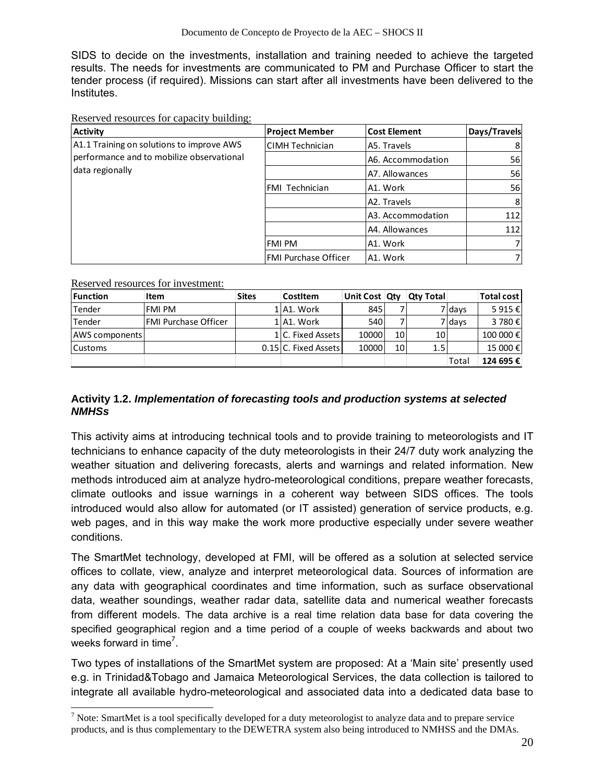SIDS to decide on the investments, installation and training needed to achieve the targeted results. The needs for investments are communicated to PM and Purchase Officer to start the tender process (if required). Missions can start after all investments have been delivered to the Institutes.

Reserved resources for capacity building:

| <b>Activity</b>                           | <b>Project Member</b>  | <b>Cost Element</b> | Days/Travels   |
|-------------------------------------------|------------------------|---------------------|----------------|
| A1.1 Training on solutions to improve AWS | <b>CIMH Technician</b> | A5. Travels         | 8              |
| performance and to mobilize observational |                        | A6. Accommodation   | 56             |
| data regionally                           |                        | A7. Allowances      | 56             |
|                                           | FMI Technician         | A1. Work            | 56             |
|                                           |                        | A2. Travels         | 8 <sup>1</sup> |
|                                           |                        | A3. Accommodation   | 112            |
|                                           |                        | A4. Allowances      | 112            |
|                                           | FMI PM                 | A1. Work            |                |
|                                           | FMI Purchase Officer   | A1. Work            |                |

Reserved resources for investment:

l

| <b>Function</b>       | Item                        | <b>Sites</b> | CostItem             | Unit Cost Qty |                 | <b>Qty Total</b> |        | Total cost |
|-----------------------|-----------------------------|--------------|----------------------|---------------|-----------------|------------------|--------|------------|
| Tender                | FMI PM                      |              | 1 A1. Work           | 845           |                 |                  | 7 days | 5 915 €    |
| Tender                | <b>FMI Purchase Officer</b> |              | 1 A1. Work           | 540           |                 |                  | 7 days | 3780€      |
| <b>AWS</b> components |                             |              | 1IC. Fixed Assets    | 10000         | 10 <sup>1</sup> | 10 <sup>1</sup>  |        | 100 000 €  |
| lCustoms              |                             |              | 0.15 C. Fixed Assets | 10000         | 10 <sup>1</sup> | 1.5              |        | 15 000 €   |
|                       |                             |              |                      |               |                 |                  | Total  | 124 695 €  |

#### **Activity 1.2.** *Implementation of forecasting tools and production systems at selected NMHSs*

This activity aims at introducing technical tools and to provide training to meteorologists and IT technicians to enhance capacity of the duty meteorologists in their 24/7 duty work analyzing the weather situation and delivering forecasts, alerts and warnings and related information. New methods introduced aim at analyze hydro-meteorological conditions, prepare weather forecasts, climate outlooks and issue warnings in a coherent way between SIDS offices. The tools introduced would also allow for automated (or IT assisted) generation of service products, e.g. web pages, and in this way make the work more productive especially under severe weather conditions.

The SmartMet technology, developed at FMI, will be offered as a solution at selected service offices to collate, view, analyze and interpret meteorological data. Sources of information are any data with geographical coordinates and time information, such as surface observational data, weather soundings, weather radar data, satellite data and numerical weather forecasts from different models. The data archive is a real time relation data base for data covering the specified geographical region and a time period of a couple of weeks backwards and about two weeks forward in time<sup>7</sup>.

Two types of installations of the SmartMet system are proposed: At a 'Main site' presently used e.g. in Trinidad&Tobago and Jamaica Meteorological Services, the data collection is tailored to integrate all available hydro-meteorological and associated data into a dedicated data base to

 $<sup>7</sup>$  Note: SmartMet is a tool specifically developed for a duty meteorologist to analyze data and to prepare service</sup> products, and is thus complementary to the DEWETRA system also being introduced to NMHSS and the DMAs.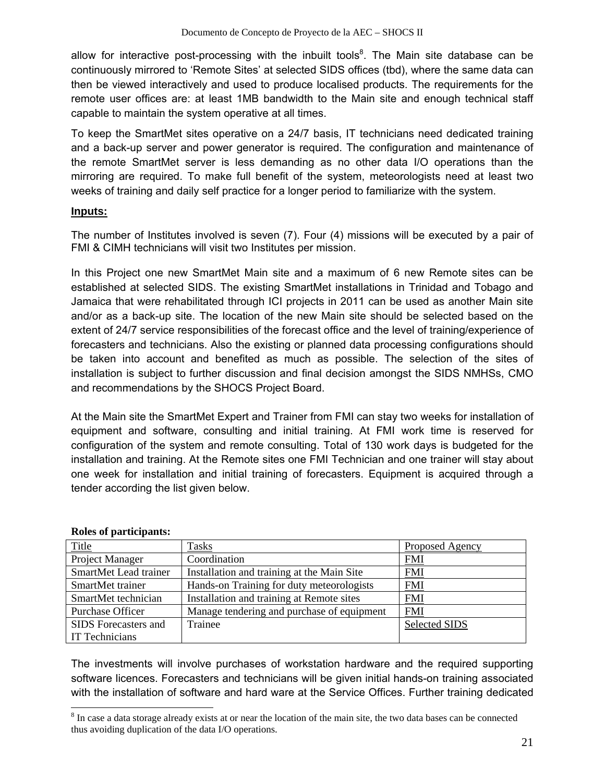allow for interactive post-processing with the inbuilt tools<sup>8</sup>. The Main site database can be continuously mirrored to 'Remote Sites' at selected SIDS offices (tbd), where the same data can then be viewed interactively and used to produce localised products. The requirements for the remote user offices are: at least 1MB bandwidth to the Main site and enough technical staff capable to maintain the system operative at all times.

To keep the SmartMet sites operative on a 24/7 basis, IT technicians need dedicated training and a back-up server and power generator is required. The configuration and maintenance of the remote SmartMet server is less demanding as no other data I/O operations than the mirroring are required. To make full benefit of the system, meteorologists need at least two weeks of training and daily self practice for a longer period to familiarize with the system.

#### **Inputs:**

The number of Institutes involved is seven (7). Four (4) missions will be executed by a pair of FMI & CIMH technicians will visit two Institutes per mission.

In this Project one new SmartMet Main site and a maximum of 6 new Remote sites can be established at selected SIDS. The existing SmartMet installations in Trinidad and Tobago and Jamaica that were rehabilitated through ICI projects in 2011 can be used as another Main site and/or as a back-up site. The location of the new Main site should be selected based on the extent of 24/7 service responsibilities of the forecast office and the level of training/experience of forecasters and technicians. Also the existing or planned data processing configurations should be taken into account and benefited as much as possible. The selection of the sites of installation is subject to further discussion and final decision amongst the SIDS NMHSs, CMO and recommendations by the SHOCS Project Board.

At the Main site the SmartMet Expert and Trainer from FMI can stay two weeks for installation of equipment and software, consulting and initial training. At FMI work time is reserved for configuration of the system and remote consulting. Total of 130 work days is budgeted for the installation and training. At the Remote sites one FMI Technician and one trainer will stay about one week for installation and initial training of forecasters. Equipment is acquired through a tender according the list given below.

| <b>Title</b>           | Tasks                                      | Proposed Agency      |
|------------------------|--------------------------------------------|----------------------|
| <b>Project Manager</b> | Coordination                               | <b>FMI</b>           |
| SmartMet Lead trainer  | Installation and training at the Main Site | EMI                  |
| SmartMet trainer       | Hands-on Training for duty meteorologists  | <b>FMI</b>           |
| SmartMet technician    | Installation and training at Remote sites  | <b>FMI</b>           |
| Purchase Officer       | Manage tendering and purchase of equipment | <b>FMI</b>           |
| SIDS Forecasters and   | Trainee                                    | <b>Selected SIDS</b> |
| <b>IT Technicians</b>  |                                            |                      |

## **Roles of participants:**

l

The investments will involve purchases of workstation hardware and the required supporting software licences. Forecasters and technicians will be given initial hands-on training associated with the installation of software and hard ware at the Service Offices. Further training dedicated

 $8 \text{ In case a data storage already exists at or near the location of the main site, the two data bases can be connected.}$ thus avoiding duplication of the data I/O operations.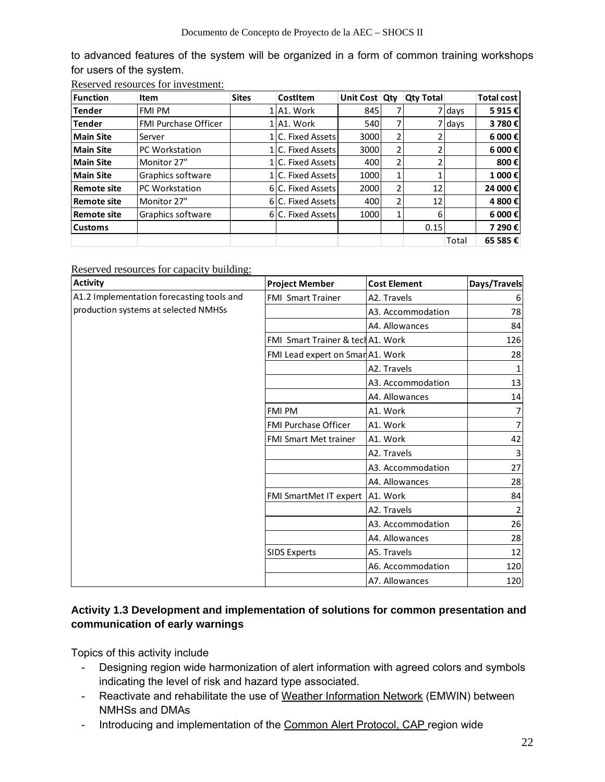to advanced features of the system will be organized in a form of common training workshops for users of the system.

|  | Reserved resources for investment: |
|--|------------------------------------|
|  |                                    |

| Function           | Item                        | <b>Sites</b> | CostItem           | Unit Cost Qty |                | <b>Qty Total</b> |           | <b>Total cost</b> |
|--------------------|-----------------------------|--------------|--------------------|---------------|----------------|------------------|-----------|-------------------|
| <b>Tender</b>      | <b>FMI PM</b>               |              | 1 A1. Work         | 845           |                |                  | 7 I da vs | 5915€             |
| <b>Tender</b>      | <b>FMI Purchase Officer</b> |              | 1 A1. Work         | 540           |                |                  | 7 days    | 3 780€            |
| <b>Main Site</b>   | Server                      |              | C. Fixed Assets    | 3000          | 2              |                  |           | 6 000€            |
| Main Site          | <b>PC Workstation</b>       |              | C. Fixed Assets    | 3000          | 2              |                  |           | 6 000€            |
| Main Site          | Monitor 27"                 |              | LLC. Fixed Assetsl | 400           | 2              |                  |           | 800€              |
| Main Site          | Graphics software           |              | 1 C. Fixed Assets  | 1000          |                |                  |           | 1 000€            |
| <b>Remote site</b> | <b>PC Workstation</b>       |              | 6 C. Fixed Assets  | 2000          | $\overline{2}$ | 12               |           | 24 000€           |
| <b>Remote site</b> | Monitor 27"                 |              | 6 C. Fixed Assets  | 400           | 2              | 12               |           | 4 800€            |
| Remote site        | Graphics software           |              | 6 C. Fixed Assets  | 1000          |                | 6                |           | 6 000€            |
| <b>Customs</b>     |                             |              |                    |               |                | 0.15             |           | 7 290€            |
|                    |                             |              |                    |               |                |                  | Total     | 65 585€           |

Reserved resources for capacity building:

| <b>Activity</b>                           | <b>Project Member</b>             | <b>Cost Element</b> | Days/Travels |
|-------------------------------------------|-----------------------------------|---------------------|--------------|
| A1.2 Implementation forecasting tools and | <b>FMI Smart Trainer</b>          | A2. Travels         | 6            |
| production systems at selected NMHSs      |                                   | A3. Accommodation   | 78           |
|                                           |                                   | A4. Allowances      | 84           |
|                                           | FMI Smart Trainer & tecl A1. Work |                     | 126          |
|                                           | FMI Lead expert on Smar A1. Work  |                     | 28           |
|                                           |                                   | A2. Travels         | 1            |
|                                           |                                   | A3. Accommodation   | 13           |
|                                           |                                   | A4. Allowances      | 14           |
|                                           | <b>FMI PM</b>                     | A1. Work            |              |
|                                           | <b>FMI Purchase Officer</b>       | A1. Work            |              |
|                                           | <b>FMI Smart Met trainer</b>      | A1. Work            | 42           |
|                                           |                                   | A2. Travels         | 3            |
|                                           |                                   | A3. Accommodation   | 27           |
|                                           |                                   | A4. Allowances      | 28           |
|                                           | FMI SmartMet IT expert            | A1. Work            | 84           |
|                                           |                                   | A2. Travels         | 2            |
|                                           |                                   | A3. Accommodation   | 26           |
|                                           |                                   | A4. Allowances      | 28           |
|                                           | <b>SIDS Experts</b>               | A5. Travels         | 12           |
|                                           |                                   | A6. Accommodation   | 120          |
|                                           |                                   | A7. Allowances      | 120          |

## **Activity 1.3 Development and implementation of solutions for common presentation and communication of early warnings**

Topics of this activity include

- Designing region wide harmonization of alert information with agreed colors and symbols indicating the level of risk and hazard type associated.
- Reactivate and rehabilitate the use of Weather Information Network (EMWIN) between NMHSs and DMAs
- Introducing and implementation of the Common Alert Protocol, CAP region wide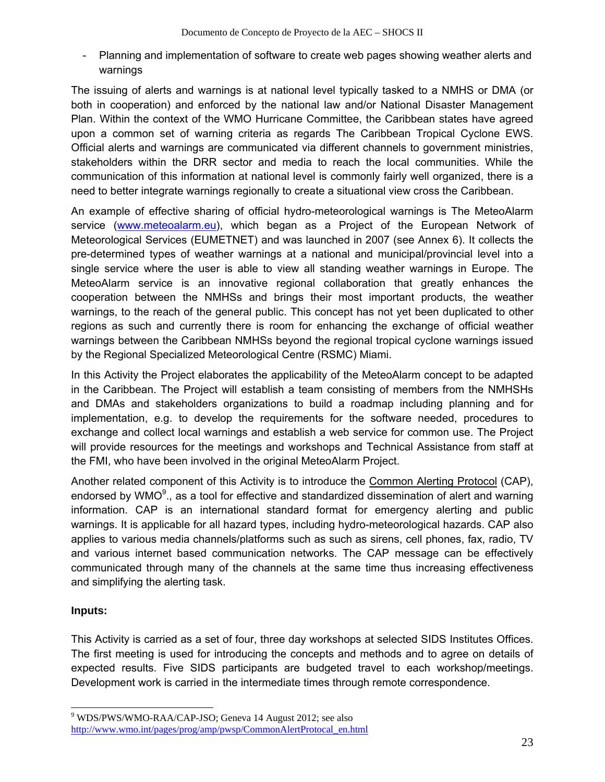‐ Planning and implementation of software to create web pages showing weather alerts and warnings

The issuing of alerts and warnings is at national level typically tasked to a NMHS or DMA (or both in cooperation) and enforced by the national law and/or National Disaster Management Plan. Within the context of the WMO Hurricane Committee, the Caribbean states have agreed upon a common set of warning criteria as regards The Caribbean Tropical Cyclone EWS. Official alerts and warnings are communicated via different channels to government ministries, stakeholders within the DRR sector and media to reach the local communities. While the communication of this information at national level is commonly fairly well organized, there is a need to better integrate warnings regionally to create a situational view cross the Caribbean.

An example of effective sharing of official hydro-meteorological warnings is The MeteoAlarm service (www.meteoalarm.eu), which began as a Project of the European Network of Meteorological Services (EUMETNET) and was launched in 2007 (see Annex 6). It collects the pre-determined types of weather warnings at a national and municipal/provincial level into a single service where the user is able to view all standing weather warnings in Europe. The MeteoAlarm service is an innovative regional collaboration that greatly enhances the cooperation between the NMHSs and brings their most important products, the weather warnings, to the reach of the general public. This concept has not yet been duplicated to other regions as such and currently there is room for enhancing the exchange of official weather warnings between the Caribbean NMHSs beyond the regional tropical cyclone warnings issued by the Regional Specialized Meteorological Centre (RSMC) Miami.

In this Activity the Project elaborates the applicability of the MeteoAlarm concept to be adapted in the Caribbean. The Project will establish a team consisting of members from the NMHSHs and DMAs and stakeholders organizations to build a roadmap including planning and for implementation, e.g. to develop the requirements for the software needed, procedures to exchange and collect local warnings and establish a web service for common use. The Project will provide resources for the meetings and workshops and Technical Assistance from staff at the FMI, who have been involved in the original MeteoAlarm Project.

Another related component of this Activity is to introduce the Common Alerting Protocol (CAP), endorsed by WMO<sup>9</sup>., as a tool for effective and standardized dissemination of alert and warning information. CAP is an international standard format for emergency alerting and public warnings. It is applicable for all hazard types, including hydro-meteorological hazards. CAP also applies to various media channels/platforms such as such as sirens, cell phones, fax, radio, TV and various internet based communication networks. The CAP message can be effectively communicated through many of the channels at the same time thus increasing effectiveness and simplifying the alerting task.

## **Inputs:**

This Activity is carried as a set of four, three day workshops at selected SIDS Institutes Offices. The first meeting is used for introducing the concepts and methods and to agree on details of expected results. Five SIDS participants are budgeted travel to each workshop/meetings. Development work is carried in the intermediate times through remote correspondence.

 9 WDS/PWS/WMO-RAA/CAP-JSO; Geneva 14 August 2012; see also http://www.wmo.int/pages/prog/amp/pwsp/CommonAlertProtocal\_en.html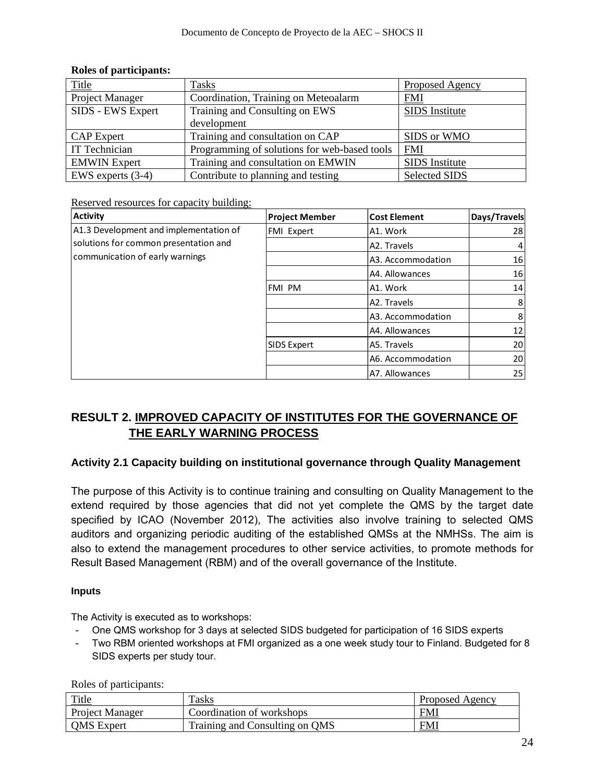| <b>Title</b>        | Tasks                                        | Proposed Agency       |
|---------------------|----------------------------------------------|-----------------------|
| Project Manager     | Coordination, Training on Meteoalarm         | <b>FMI</b>            |
| SIDS - EWS Expert   | Training and Consulting on EWS               | <b>SIDS</b> Institute |
|                     | development                                  |                       |
| <b>CAP</b> Expert   | Training and consultation on CAP             | SIDS or WMO           |
| IT Technician       | Programming of solutions for web-based tools | <b>FMI</b>            |
| <b>EMWIN</b> Expert | Training and consultation on EMWIN           | <b>SIDS</b> Institute |
| EWS experts $(3-4)$ | Contribute to planning and testing           | <b>Selected SIDS</b>  |

#### **Roles of participants:**

Reserved resources for capacity building:

| <b>Activity</b>                        | <b>Project Member</b> | <b>Cost Element</b> | Days/Travels |
|----------------------------------------|-----------------------|---------------------|--------------|
| A1.3 Development and implementation of | <b>FMI Expert</b>     | A1. Work            | 28           |
| solutions for common presentation and  |                       | A2. Travels         |              |
| communication of early warnings        |                       | A3. Accommodation   | 16           |
|                                        |                       | A4. Allowances      | 16           |
|                                        | <b>FMI PM</b>         | A1. Work            | 14           |
|                                        |                       | A2. Travels         | 8            |
|                                        |                       | A3. Accommodation   | 8            |
|                                        |                       | A4. Allowances      | 12           |
|                                        | <b>SIDS Expert</b>    | A5. Travels         | 20           |
|                                        |                       | A6. Accommodation   | 20           |
|                                        |                       | A7. Allowances      | 25           |

## **RESULT 2. IMPROVED CAPACITY OF INSTITUTES FOR THE GOVERNANCE OF THE EARLY WARNING PROCESS**

#### **Activity 2.1 Capacity building on institutional governance through Quality Management**

The purpose of this Activity is to continue training and consulting on Quality Management to the extend required by those agencies that did not yet complete the QMS by the target date specified by ICAO (November 2012), The activities also involve training to selected QMS auditors and organizing periodic auditing of the established QMSs at the NMHSs. The aim is also to extend the management procedures to other service activities, to promote methods for Result Based Management (RBM) and of the overall governance of the Institute.

#### **Inputs**

The Activity is executed as to workshops:

- ‐ One QMS workshop for 3 days at selected SIDS budgeted for participation of 16 SIDS experts
- ‐ Two RBM oriented workshops at FMI organized as a one week study tour to Finland. Budgeted for 8 SIDS experts per study tour.

Roles of participants:

| <b>Title</b>      | Tasks                          | Proposed Agency |
|-------------------|--------------------------------|-----------------|
| Project Manager   | Coordination of workshops      | <b>FMI</b>      |
| <b>OMS</b> Expert | Training and Consulting on QMS | <b>FMI</b>      |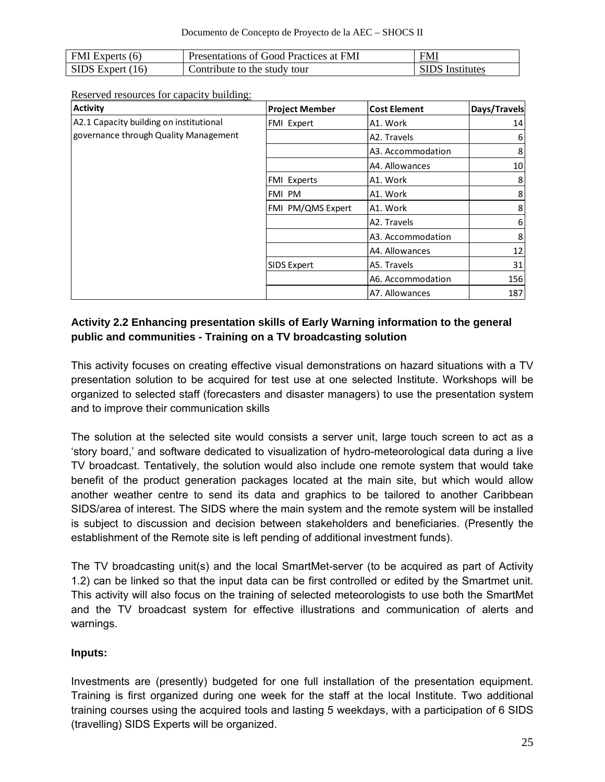| FMI Experts (6)    | Presentations of Good Practices at FMI | <b>FMI</b>             |
|--------------------|----------------------------------------|------------------------|
| SIDS Expert $(16)$ | Contribute to the study tour           | <b>SIDS</b> Institutes |

Reserved resources for capacity building:

| <b>Activity</b>                         | <b>Project Member</b> | <b>Cost Element</b> | Days/Travels |
|-----------------------------------------|-----------------------|---------------------|--------------|
| A2.1 Capacity building on institutional | FMI Expert            | A1. Work            | 14           |
| governance through Quality Management   |                       | A2. Travels         | 6            |
|                                         |                       | A3. Accommodation   | 8            |
|                                         |                       | A4. Allowances      | 10           |
|                                         | FMI Experts           | A1. Work            | 8            |
|                                         | FMI PM                | A1. Work            | 8            |
|                                         | FMI PM/QMS Expert     | A1. Work            | 8            |
|                                         |                       | A2. Travels         | 6            |
|                                         |                       | A3. Accommodation   | 8            |
|                                         |                       | A4. Allowances      | 12           |
|                                         | SIDS Expert           | A5. Travels         | 31           |
|                                         |                       | A6. Accommodation   | 156          |
|                                         |                       | A7. Allowances      | 187          |

## **Activity 2.2 Enhancing presentation skills of Early Warning information to the general public and communities - Training on a TV broadcasting solution**

This activity focuses on creating effective visual demonstrations on hazard situations with a TV presentation solution to be acquired for test use at one selected Institute. Workshops will be organized to selected staff (forecasters and disaster managers) to use the presentation system and to improve their communication skills

The solution at the selected site would consists a server unit, large touch screen to act as a 'story board,' and software dedicated to visualization of hydro-meteorological data during a live TV broadcast. Tentatively, the solution would also include one remote system that would take benefit of the product generation packages located at the main site, but which would allow another weather centre to send its data and graphics to be tailored to another Caribbean SIDS/area of interest. The SIDS where the main system and the remote system will be installed is subject to discussion and decision between stakeholders and beneficiaries. (Presently the establishment of the Remote site is left pending of additional investment funds).

The TV broadcasting unit(s) and the local SmartMet-server (to be acquired as part of Activity 1.2) can be linked so that the input data can be first controlled or edited by the Smartmet unit. This activity will also focus on the training of selected meteorologists to use both the SmartMet and the TV broadcast system for effective illustrations and communication of alerts and warnings.

## **Inputs:**

Investments are (presently) budgeted for one full installation of the presentation equipment. Training is first organized during one week for the staff at the local Institute. Two additional training courses using the acquired tools and lasting 5 weekdays, with a participation of 6 SIDS (travelling) SIDS Experts will be organized.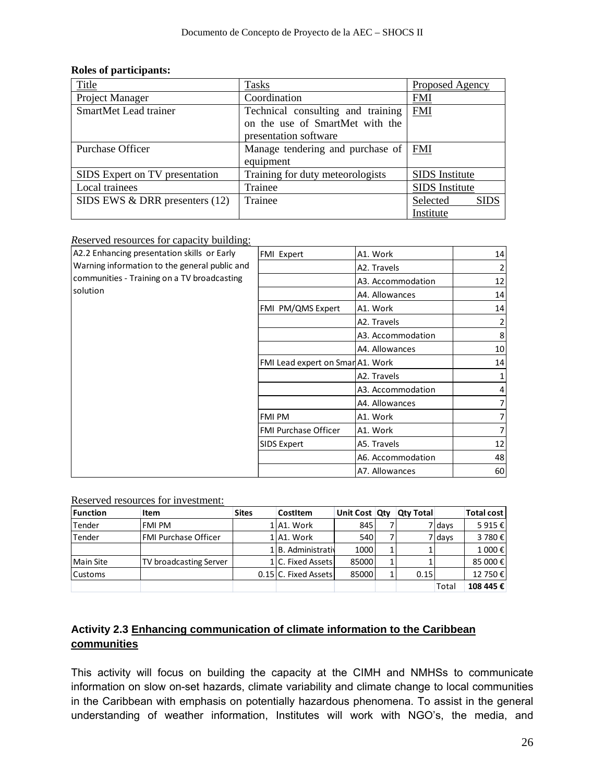#### **Roles of participants:**

| Title                            | <b>Tasks</b>                      | Proposed Agency         |
|----------------------------------|-----------------------------------|-------------------------|
| Project Manager                  | Coordination                      | <b>FMI</b>              |
| SmartMet Lead trainer            | Technical consulting and training | <b>FMI</b>              |
|                                  | on the use of SmartMet with the   |                         |
|                                  | presentation software             |                         |
| Purchase Officer                 | Manage tendering and purchase of  | <b>FMI</b>              |
|                                  | equipment                         |                         |
| SIDS Expert on TV presentation   | Training for duty meteorologists  | <b>SIDS</b> Institute   |
| Local trainees                   | Trainee                           | <b>SIDS</b> Institute   |
| SIDS EWS $&$ DRR presenters (12) | Trainee                           | Selected<br><b>SIDS</b> |
|                                  |                                   | Institute               |

#### *R*eserved resources for capacity building:

| A2.2 Enhancing presentation skills or Early   | <b>FMI Expert</b>                | A1. Work          | 14              |
|-----------------------------------------------|----------------------------------|-------------------|-----------------|
| Warning information to the general public and |                                  | A2. Travels       |                 |
| communities - Training on a TV broadcasting   |                                  | A3. Accommodation | 12              |
| solution                                      |                                  | A4. Allowances    | 14              |
|                                               | FMI PM/QMS Expert                | A1. Work          | 14              |
|                                               |                                  | A2. Travels       |                 |
|                                               |                                  | A3. Accommodation | 8               |
|                                               |                                  | A4. Allowances    | 10 <sup>1</sup> |
|                                               | FMI Lead expert on Smar A1. Work |                   | 14              |
|                                               |                                  | A2. Travels       |                 |
|                                               |                                  | A3. Accommodation |                 |
|                                               |                                  | A4. Allowances    |                 |
|                                               | <b>FMI PM</b>                    | A1. Work          |                 |
|                                               | <b>FMI Purchase Officer</b>      | A1. Work          |                 |
|                                               | <b>SIDS Expert</b>               | A5. Travels       | 12              |
|                                               |                                  | A6. Accommodation | 48              |
|                                               |                                  | A7. Allowances    | 60              |

#### Reserved resources for investment:

| <b>Function</b>  | Item                   | <b>Sites</b> | CostItem             | Unit Cost Qtv | <b>Qty Total</b> |        | Total cost |
|------------------|------------------------|--------------|----------------------|---------------|------------------|--------|------------|
| Tender           | <b>FMI PM</b>          |              | 1 A1. Work           | 845           |                  | 7 days | 5 915 €    |
| Tender           | IFMI Purchase Officer  |              | LlA1. Work           | 540           |                  | 7 days | 3780€      |
|                  |                        |              | LIB. Administrativ   | 1000          |                  |        | 1 000 €    |
| <b>Main Site</b> | TV broadcasting Server |              | LlC. Fixed Assets    | 85000         |                  |        | 85 000€    |
| <b>Customs</b>   |                        |              | 0.15 C. Fixed Assets | 85000         | 0.15             |        | 12 750€    |
|                  |                        |              |                      |               |                  | Tota   | 108 445 €  |

## **Activity 2.3 Enhancing communication of climate information to the Caribbean communities**

This activity will focus on building the capacity at the CIMH and NMHSs to communicate information on slow on-set hazards, climate variability and climate change to local communities in the Caribbean with emphasis on potentially hazardous phenomena. To assist in the general understanding of weather information, Institutes will work with NGO's, the media, and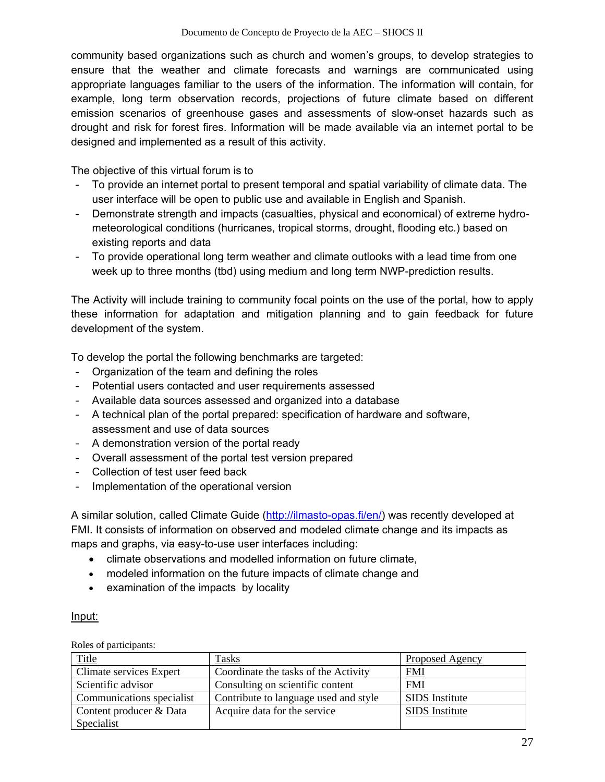community based organizations such as church and women's groups, to develop strategies to ensure that the weather and climate forecasts and warnings are communicated using appropriate languages familiar to the users of the information. The information will contain, for example, long term observation records, projections of future climate based on different emission scenarios of greenhouse gases and assessments of slow-onset hazards such as drought and risk for forest fires. Information will be made available via an internet portal to be designed and implemented as a result of this activity.

The objective of this virtual forum is to

- ‐ To provide an internet portal to present temporal and spatial variability of climate data. The user interface will be open to public use and available in English and Spanish.
- ‐ Demonstrate strength and impacts (casualties, physical and economical) of extreme hydrometeorological conditions (hurricanes, tropical storms, drought, flooding etc.) based on existing reports and data
- ‐ To provide operational long term weather and climate outlooks with a lead time from one week up to three months (tbd) using medium and long term NWP-prediction results.

The Activity will include training to community focal points on the use of the portal, how to apply these information for adaptation and mitigation planning and to gain feedback for future development of the system.

To develop the portal the following benchmarks are targeted:

- ‐ Organization of the team and defining the roles
- ‐ Potential users contacted and user requirements assessed
- ‐ Available data sources assessed and organized into a database
- ‐ A technical plan of the portal prepared: specification of hardware and software, assessment and use of data sources
- ‐ A demonstration version of the portal ready
- ‐ Overall assessment of the portal test version prepared
- ‐ Collection of test user feed back
- ‐ Implementation of the operational version

A similar solution, called Climate Guide (http://ilmasto-opas.fi/en/) was recently developed at FMI. It consists of information on observed and modeled climate change and its impacts as maps and graphs, via easy-to-use user interfaces including:

- climate observations and modelled information on future climate,
- modeled information on the future impacts of climate change and
- examination of the impacts by locality

#### Input:

Roles of participants:

| Title                     | <b>Tasks</b>                          | Proposed Agency       |
|---------------------------|---------------------------------------|-----------------------|
| Climate services Expert   | Coordinate the tasks of the Activity  | <b>FMI</b>            |
| Scientific advisor        | Consulting on scientific content      | <b>FMI</b>            |
| Communications specialist | Contribute to language used and style | <b>SIDS</b> Institute |
| Content producer & Data   | Acquire data for the service          | <b>SIDS</b> Institute |
| Specialist                |                                       |                       |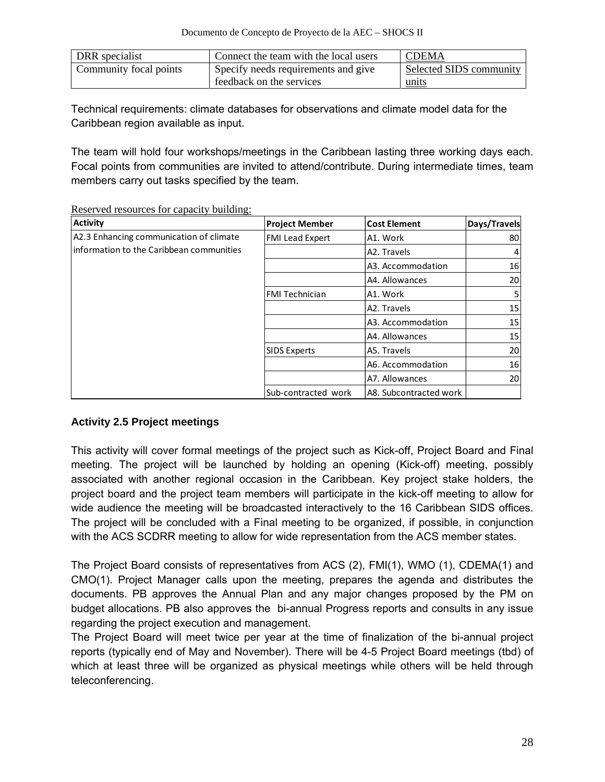| DRR specialist         | Connect the team with the local users | <b>CDEMA</b>            |
|------------------------|---------------------------------------|-------------------------|
| Community focal points | Specify needs requirements and give   | Selected SIDS community |
|                        | feedback on the services              | units                   |

Technical requirements: climate databases for observations and climate model data for the Caribbean region available as input.

The team will hold four workshops/meetings in the Caribbean lasting three working days each. Focal points from communities are invited to attend/contribute. During intermediate times, team members carry out tasks specified by the team.

| <b>Activity</b>                           | <b>Project Member</b>  | <b>Cost Element</b>    | Days/Travels |
|-------------------------------------------|------------------------|------------------------|--------------|
| A2.3 Enhancing communication of climate   | <b>FMI Lead Expert</b> | A1. Work               | 80           |
| linformation to the Caribbean communities |                        | A2. Travels            | 4            |
|                                           |                        | A3. Accommodation      | 16           |
|                                           |                        | A4. Allowances         | 20           |
|                                           | <b>FMI Technician</b>  | A1. Work               |              |
|                                           |                        | A2. Travels            | 15           |
|                                           |                        | A3. Accommodation      | 15           |
|                                           |                        | A4. Allowances         | 15           |
|                                           | <b>SIDS Experts</b>    | A5. Travels            | 20           |
|                                           |                        | A6. Accommodation      | 16           |
|                                           |                        | A7. Allowances         | 20           |
|                                           | Sub-contracted work    | A8. Subcontracted work |              |

Reserved resources for capacity building:

## **Activity 2.5 Project meetings**

This activity will cover formal meetings of the project such as Kick-off, Project Board and Final meeting. The project will be launched by holding an opening (Kick-off) meeting, possibly associated with another regional occasion in the Caribbean. Key project stake holders, the project board and the project team members will participate in the kick-off meeting to allow for wide audience the meeting will be broadcasted interactively to the 16 Caribbean SIDS offices. The project will be concluded with a Final meeting to be organized, if possible, in conjunction with the ACS SCDRR meeting to allow for wide representation from the ACS member states.

The Project Board consists of representatives from ACS (2), FMI(1), WMO (1), CDEMA(1) and CMO(1). Project Manager calls upon the meeting, prepares the agenda and distributes the documents. PB approves the Annual Plan and any major changes proposed by the PM on budget allocations. PB also approves the bi-annual Progress reports and consults in any issue regarding the project execution and management.

The Project Board will meet twice per year at the time of finalization of the bi-annual project reports (typically end of May and November). There will be 4-5 Project Board meetings (tbd) of which at least three will be organized as physical meetings while others will be held through teleconferencing.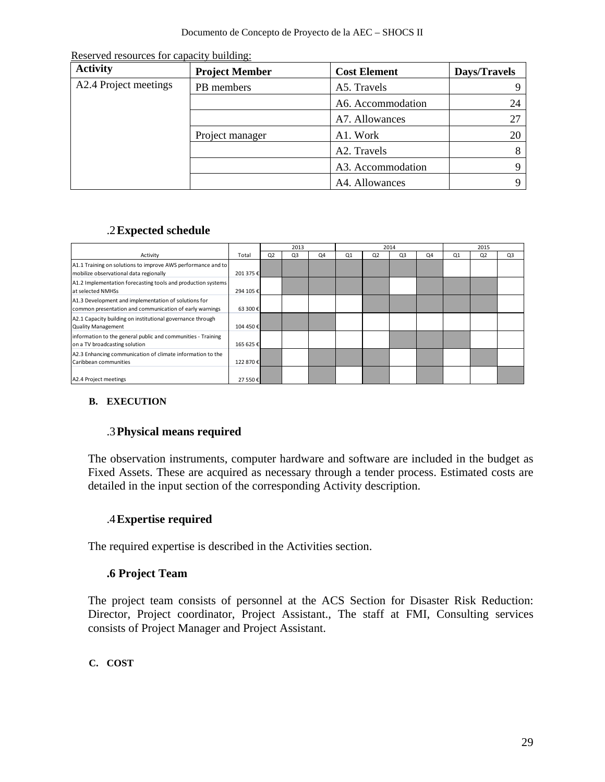Reserved resources for capacity building:

| <b>Activity</b>       | <b>Project Member</b> | <b>Cost Element</b> | Days/Travels   |
|-----------------------|-----------------------|---------------------|----------------|
| A2.4 Project meetings | PB members            | A5. Travels         |                |
|                       |                       | A6. Accommodation   | 24             |
|                       |                       | A7. Allowances      | 27             |
|                       | Project manager       | A1. Work            | 2 <sup>0</sup> |
|                       |                       | A2. Travels         |                |
|                       |                       | A3. Accommodation   |                |
|                       |                       | A4. Allowances      |                |

## .2**Expected schedule**

|                                                                                                                 |           | 2013           |                |                | 2014 |                |                | 2015 |                |                |                |
|-----------------------------------------------------------------------------------------------------------------|-----------|----------------|----------------|----------------|------|----------------|----------------|------|----------------|----------------|----------------|
| Activity                                                                                                        | Total     | Q <sub>2</sub> | Q <sub>3</sub> | Q <sub>4</sub> | Q1   | Q <sub>2</sub> | Q <sub>3</sub> | Q4   | O <sub>1</sub> | Q <sub>2</sub> | Q <sub>3</sub> |
| A1.1 Training on solutions to improve AWS performance and to<br>mobilize observational data regionally          | 201 375 € |                |                |                |      |                |                |      |                |                |                |
| A1.2 Implementation forecasting tools and production systems<br>at selected NMHSs                               | 294 105€  |                |                |                |      |                |                |      |                |                |                |
| A1.3 Development and implementation of solutions for<br>common presentation and communication of early warnings | 63 300€   |                |                |                |      |                |                |      |                |                |                |
| A2.1 Capacity building on institutional governance through<br><b>Quality Management</b>                         | 104 450 € |                |                |                |      |                |                |      |                |                |                |
| information to the general public and communities - Training<br>on a TV broadcasting solution                   | 165 625€  |                |                |                |      |                |                |      |                |                |                |
| A2.3 Enhancing communication of climate information to the<br>Caribbean communities                             | 122 870 € |                |                |                |      |                |                |      |                |                |                |
| A2.4 Project meetings                                                                                           | 27 550€   |                |                |                |      |                |                |      |                |                |                |

## **B. EXECUTION**

## .3**Physical means required**

The observation instruments, computer hardware and software are included in the budget as Fixed Assets. These are acquired as necessary through a tender process. Estimated costs are detailed in the input section of the corresponding Activity description.

## .4**Expertise required**

The required expertise is described in the Activities section.

## **.6 Project Team**

The project team consists of personnel at the ACS Section for Disaster Risk Reduction: Director, Project coordinator, Project Assistant., The staff at FMI, Consulting services consists of Project Manager and Project Assistant.

## **C. COST**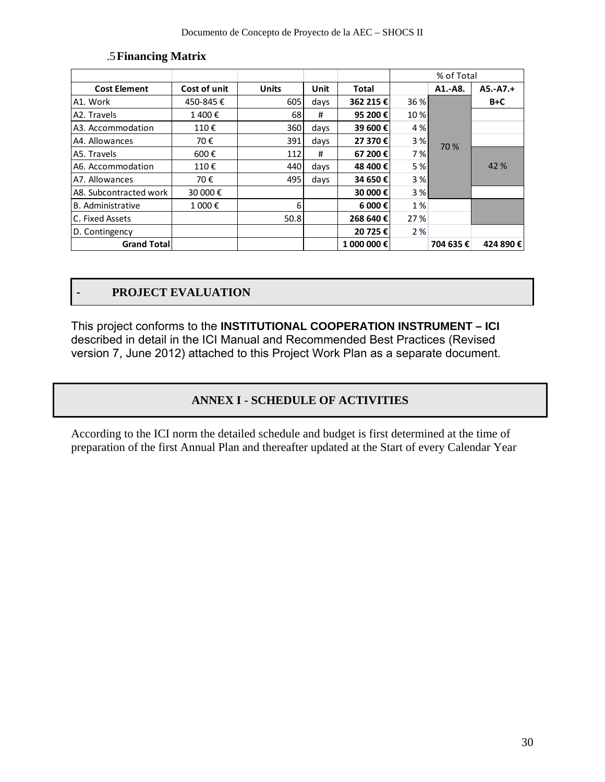|                        |              |              |      |              |       | % of Total |            |
|------------------------|--------------|--------------|------|--------------|-------|------------|------------|
| <b>Cost Element</b>    | Cost of unit | <b>Units</b> | Unit | <b>Total</b> |       | A1.-A8.    | $A5.-A7.+$ |
| A1. Work               | 450-845€     | 605          | days | 362 215 €    | 36 %  |            | $B+C$      |
| A2. Travels            | 1400€        | 68           | #    | 95 200 €     | 10 %  |            |            |
| A3. Accommodation      | 110€         | 360          | days | 39 600€      | 4 % l |            |            |
| A4. Allowances         | 70€          | 391          | days | 27 370€      | 3%    | 70 %       |            |
| A5. Travels            | 600€         | 112          | #    | 67 200€      | 7 % I |            |            |
| A6. Accommodation      | 110€         | 440          | days | 48 400 €     | 5 %   |            | 42 %       |
| A7. Allowances         | 70€          | 495          | days | 34 650€      | 3 %   |            |            |
| A8. Subcontracted work | 30 000 €     |              |      | 30 000 €     | 3%    |            |            |
| B. Administrative      | 1 000€       | 6            |      | 6 000 €      | 1%    |            |            |
| C. Fixed Assets        |              | 50.8         |      | 268 640 €    | 27 %  |            |            |
| D. Contingency         |              |              |      | 20 725 €     | 2%    |            |            |
| <b>Grand Total</b>     |              |              |      | 1 000 000€   |       | 704 635 €  | 424 890 €  |

#### .5**Financing Matrix**

## - **PROJECT EVALUATION**

This project conforms to the **INSTITUTIONAL COOPERATION INSTRUMENT – ICI**  described in detail in the ICI Manual and Recommended Best Practices (Revised version 7, June 2012) attached to this Project Work Plan as a separate document.

## **ANNEX I - SCHEDULE OF ACTIVITIES**

According to the ICI norm the detailed schedule and budget is first determined at the time of preparation of the first Annual Plan and thereafter updated at the Start of every Calendar Year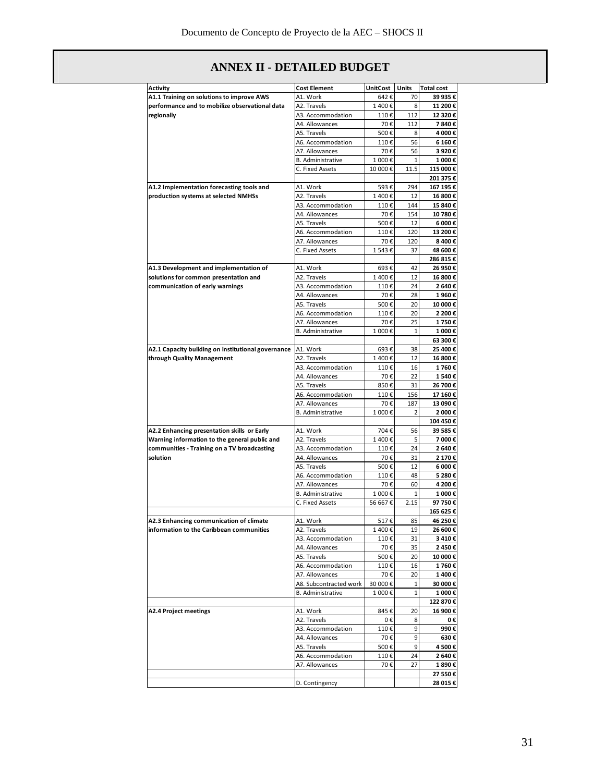| <b>Activity</b>                                    | <b>Cost Element</b>      | UnitCost | Units          | <b>Total cost</b> |
|----------------------------------------------------|--------------------------|----------|----------------|-------------------|
| A1.1 Training on solutions to improve AWS          | A1. Work                 | 642€     | 70             | 39 935 €          |
| performance and to mobilize observational data     | A2. Travels              | 1400€    | 8              | 11 200 €          |
| regionally                                         | A3. Accommodation        | 110€     | 112            | 12 320€           |
|                                                    | A4. Allowances           | 70€      | 112            | 7840€             |
|                                                    | A5. Travels              | 500€     | 8              | 4 000€            |
|                                                    | A6. Accommodation        | 110€     | 56             | 6 160€            |
|                                                    | A7. Allowances           | 70€      | 56             | 3920€             |
|                                                    | B. Administrative        | 1 000€   | 1              | 1 000€            |
|                                                    | C. Fixed Assets          | 10 000€  | 11.5           | 115 000€          |
|                                                    |                          |          |                | 201 375 €         |
| A1.2 Implementation forecasting tools and          | A1. Work                 | 593€     | 294            | 167 195€          |
| production systems at selected NMHSs               | A2. Travels              | 1400€    | 12             | 16 800€           |
|                                                    | A3. Accommodation        | 110€     | 144            | 15 840€           |
|                                                    | A4. Allowances           | 70€      | 154            | 10 780€           |
|                                                    | A5. Travels              | 500€     | 12             | 6 000€            |
|                                                    | A6. Accommodation        | 110€     | 120            | 13 200€           |
|                                                    | A7. Allowances           | 70€      | 120            | 8 400€            |
|                                                    | C. Fixed Assets          | 1543€    | 37             | 48 600€           |
|                                                    |                          |          |                | 286 815 €         |
| A1.3 Development and implementation of             | A1. Work                 | 693€     | 42             | 26 950 €          |
| solutions for common presentation and              | A2. Travels              | 1400€    | 12             | 16 800€           |
| communication of early warnings                    | A3. Accommodation        | 110€     | 24             | 2640€             |
|                                                    | A4. Allowances           | 70€      | 28             | 1960€             |
|                                                    | A5. Travels              | 500€     | 20             | 10 000€           |
|                                                    | A6. Accommodation        | 110€     | 20             | 2 200€            |
|                                                    | A7. Allowances           | 70€      | 25             | 1750€             |
|                                                    | <b>B.</b> Administrative | 1 000€   | 1              | 1 000€            |
|                                                    |                          |          |                | 63 300 €          |
| A2.1 Capacity building on institutional governance | A1. Work                 | 693€     | 38             | 25 400€           |
| through Quality Management                         | A2. Travels              | 1400€    | 12             | 16 800€           |
|                                                    | A3. Accommodation        | 110€     | 16             | 1760€             |
|                                                    | A4. Allowances           | 70€      | 22             | 1540€             |
|                                                    | A5. Travels              | 850€     | 31             | 26 700 €          |
|                                                    | A6. Accommodation        | 110€     | 156            | 17 160€           |
|                                                    | A7. Allowances           | 70€      | 187            | 13 090€           |
|                                                    | B. Administrative        | 1 000€   | $\overline{2}$ | 2 000€            |
|                                                    |                          |          |                | 104 450€          |
| A2.2 Enhancing presentation skills or Early        | A1. Work                 | 704€     | 56             | 39 585€           |
| Warning information to the general public and      | A2. Travels              | 1400€    | 5              | 7 000€            |
| communities - Training on a TV broadcasting        | A3. Accommodation        | 110€     | 24             | 2 640 €           |
| solution                                           | A4. Allowances           | 70€      | 31             | 2 170€            |
|                                                    | A5. Travels              | 500€     | 12             | 6 000€            |
|                                                    | A6. Accommodation        | 110€     | 48             | 5 280€            |
|                                                    | A7. Allowances           | 70€      | 60             | 4 200 €           |
|                                                    | B. Administrative        | 1 000€   | 1              | 1 000€            |
|                                                    | C. Fixed Assets          | 56 667€  | 2.15           | 97 750€           |
|                                                    |                          |          |                | 165 625 €         |
| A2.3 Enhancing communication of climate            | A1. Work                 | 517€     | 85             | 46 250€           |
| information to the Caribbean communities           | A2. Travels              | 1400€    | 19             | 26 600€           |
|                                                    | A3. Accommodation        | 110€     | 31             | 3410€             |
|                                                    | A4. Allowances           | 70€      | 35             | 2450€             |
|                                                    | A5. Travels              | 500€     | 20             | 10 000€           |
|                                                    | A6. Accommodation        | 110€     | 16             | 1760€             |
|                                                    | A7. Allowances           | 70€      | 20             | 1400€             |
|                                                    | A8. Subcontracted work   | 30 000€  | 1              | 30 000€           |
|                                                    | B. Administrative        | 1 000€   | 1              | 1 000€            |
|                                                    |                          |          |                | 122 870€          |
| <b>A2.4 Project meetings</b>                       | A1. Work                 | 845€     | 20             | 16 900€           |
|                                                    | A2. Travels              | 0€       | 8              | 0€                |
|                                                    | A3. Accommodation        | 110€     | 9              | 990€              |
|                                                    | A4. Allowances           | 70€      | 9              | 630€              |
|                                                    | A5. Travels              | 500€     | 9              | 4500€             |
|                                                    | A6. Accommodation        | 110€     | 24             | 2640€             |
|                                                    | A7. Allowances           | 70€      | 27             | 1890€             |
|                                                    |                          |          |                | 27 550€           |
|                                                    |                          |          |                | 28 015€           |
|                                                    | D. Contingency           |          |                |                   |

## **ANNEX II - DETAILED BUDGET**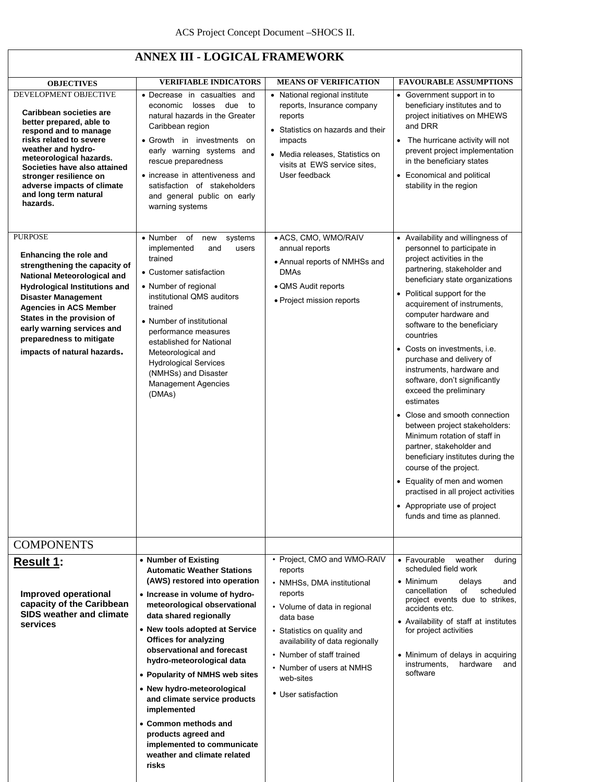| <b>ANNEX III - LOGICAL FRAMEWORK</b>                                                                                                                                                                                                                                                                                                   |                                                                                                                                                                                                                                                                                                                                                                                                                                                                                                                                                         |                                                                                                                                                                                                                                                                                              |                                                                                                                                                                                                                                                                                                                                                                                                                                                                                                                                                                                                                                                                                                                                                                                                      |  |  |  |  |
|----------------------------------------------------------------------------------------------------------------------------------------------------------------------------------------------------------------------------------------------------------------------------------------------------------------------------------------|---------------------------------------------------------------------------------------------------------------------------------------------------------------------------------------------------------------------------------------------------------------------------------------------------------------------------------------------------------------------------------------------------------------------------------------------------------------------------------------------------------------------------------------------------------|----------------------------------------------------------------------------------------------------------------------------------------------------------------------------------------------------------------------------------------------------------------------------------------------|------------------------------------------------------------------------------------------------------------------------------------------------------------------------------------------------------------------------------------------------------------------------------------------------------------------------------------------------------------------------------------------------------------------------------------------------------------------------------------------------------------------------------------------------------------------------------------------------------------------------------------------------------------------------------------------------------------------------------------------------------------------------------------------------------|--|--|--|--|
| <b>OBJECTIVES</b><br>DEVELOPMENT OBJECTIVE                                                                                                                                                                                                                                                                                             | <b>VERIFIABLE INDICATORS</b><br>• Decrease in casualties and<br>losses<br>due<br>economic<br>to                                                                                                                                                                                                                                                                                                                                                                                                                                                         | <b>MEANS OF VERIFICATION</b><br>• National regional institute<br>reports, Insurance company                                                                                                                                                                                                  | <b>FAVOURABLE ASSUMPTIONS</b><br>• Government support in to<br>beneficiary institutes and to                                                                                                                                                                                                                                                                                                                                                                                                                                                                                                                                                                                                                                                                                                         |  |  |  |  |
| Caribbean societies are<br>better prepared, able to<br>respond and to manage<br>risks related to severe<br>weather and hydro-<br>meteorological hazards.<br>Societies have also attained<br>stronger resilience on<br>adverse impacts of climate<br>and long term natural<br>hazards.                                                  | natural hazards in the Greater<br>Caribbean region<br>• Growth in investments<br>on<br>early warning systems and<br>rescue preparedness<br>• increase in attentiveness and<br>satisfaction of stakeholders<br>and general public on early<br>warning systems                                                                                                                                                                                                                                                                                            | reports<br>• Statistics on hazards and their<br>impacts<br>• Media releases, Statistics on<br>visits at EWS service sites,<br>User feedback                                                                                                                                                  | project initiatives on MHEWS<br>and DRR<br>The hurricane activity will not<br>prevent project implementation<br>in the beneficiary states<br>• Economical and political<br>stability in the region                                                                                                                                                                                                                                                                                                                                                                                                                                                                                                                                                                                                   |  |  |  |  |
| <b>PURPOSE</b><br>Enhancing the role and<br>strengthening the capacity of<br>National Meteorological and<br><b>Hydrological Institutions and</b><br><b>Disaster Management</b><br><b>Agencies in ACS Member</b><br>States in the provision of<br>early warning services and<br>preparedness to mitigate<br>impacts of natural hazards. | • Number<br>of<br>systems<br>new<br>implemented<br>and<br>users<br>trained<br>• Customer satisfaction<br>• Number of regional<br>institutional QMS auditors<br>trained<br>• Number of institutional<br>performance measures<br>established for National<br>Meteorological and<br><b>Hydrological Services</b><br>(NMHSs) and Disaster<br><b>Management Agencies</b><br>(DMAs)                                                                                                                                                                           | · ACS, CMO, WMO/RAIV<br>annual reports<br>• Annual reports of NMHSs and<br><b>DMAs</b><br>• QMS Audit reports<br>• Project mission reports                                                                                                                                                   | • Availability and willingness of<br>personnel to participate in<br>project activities in the<br>partnering, stakeholder and<br>beneficiary state organizations<br>• Political support for the<br>acquirement of instruments,<br>computer hardware and<br>software to the beneficiary<br>countries<br>• Costs on investments, i.e.<br>purchase and delivery of<br>instruments, hardware and<br>software, don't significantly<br>exceed the preliminary<br>estimates<br>• Close and smooth connection<br>between project stakeholders:<br>Minimum rotation of staff in<br>partner, stakeholder and<br>beneficiary institutes during the<br>course of the project.<br>• Equality of men and women<br>practised in all project activities<br>• Appropriate use of project<br>funds and time as planned. |  |  |  |  |
| <b>COMPONENTS</b>                                                                                                                                                                                                                                                                                                                      |                                                                                                                                                                                                                                                                                                                                                                                                                                                                                                                                                         |                                                                                                                                                                                                                                                                                              |                                                                                                                                                                                                                                                                                                                                                                                                                                                                                                                                                                                                                                                                                                                                                                                                      |  |  |  |  |
| <b>Result 1:</b><br>Improved operational<br>capacity of the Caribbean<br>SIDS weather and climate<br>services                                                                                                                                                                                                                          | • Number of Existing<br><b>Automatic Weather Stations</b><br>(AWS) restored into operation<br>• Increase in volume of hydro-<br>meteorological observational<br>data shared regionally<br>• New tools adopted at Service<br><b>Offices for analyzing</b><br>observational and forecast<br>hydro-meteorological data<br>• Popularity of NMHS web sites<br>• New hydro-meteorological<br>and climate service products<br>implemented<br>• Common methods and<br>products agreed and<br>implemented to communicate<br>weather and climate related<br>risks | • Project, CMO and WMO-RAIV<br>reports<br>• NMHSs, DMA institutional<br>reports<br>• Volume of data in regional<br>data base<br>• Statistics on quality and<br>availability of data regionally<br>• Number of staff trained<br>• Number of users at NMHS<br>web-sites<br>• User satisfaction | • Favourable<br>weather<br>during<br>scheduled field work<br>• Minimum<br>delays<br>and<br>cancellation<br>of<br>scheduled<br>project events due to strikes,<br>accidents etc.<br>• Availability of staff at institutes<br>for project activities<br>• Minimum of delays in acquiring<br>instruments,<br>hardware<br>and<br>software                                                                                                                                                                                                                                                                                                                                                                                                                                                                 |  |  |  |  |

## **ANNEX III - LOGICAL FRAMEWORK**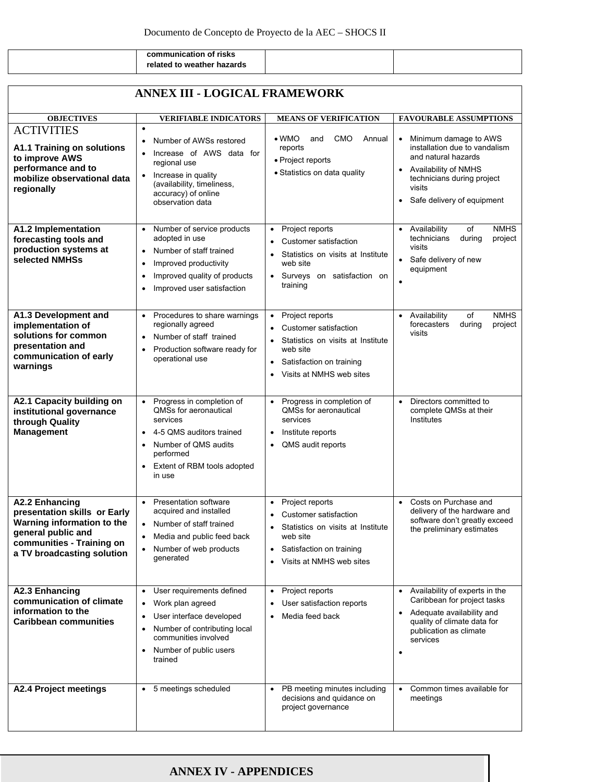|  | communication of risks     |  |
|--|----------------------------|--|
|  | related to weather hazards |  |

| <b>ANNEX III - LOGICAL FRAMEWORK</b>                                                                                                                                 |                                                                                                                                                                                                                    |                                                                                                                                                                                                       |                                                                                                                                                                                                       |
|----------------------------------------------------------------------------------------------------------------------------------------------------------------------|--------------------------------------------------------------------------------------------------------------------------------------------------------------------------------------------------------------------|-------------------------------------------------------------------------------------------------------------------------------------------------------------------------------------------------------|-------------------------------------------------------------------------------------------------------------------------------------------------------------------------------------------------------|
| <b>OBJECTIVES</b>                                                                                                                                                    | <b>VERIFIABLE INDICATORS</b>                                                                                                                                                                                       | <b>MEANS OF VERIFICATION</b>                                                                                                                                                                          | <b>FAVOURABLE ASSUMPTIONS</b>                                                                                                                                                                         |
| <b>ACTIVITIES</b><br><b>A1.1 Training on solutions</b><br>to improve AWS<br>performance and to<br>mobilize observational data<br>regionally                          | $\bullet$<br>Number of AWSs restored<br>Increase of AWS data for<br>regional use<br>Increase in quality<br>(availability, timeliness,<br>accuracy) of online<br>observation data                                   | $\bullet$ WMO<br><b>CMO</b><br>Annual<br>and<br>reports<br>• Project reports<br>• Statistics on data quality                                                                                          | Minimum damage to AWS<br>$\bullet$<br>installation due to vandalism<br>and natural hazards<br>Availability of NMHS<br>technicians during project<br>visits<br>Safe delivery of equipment<br>$\bullet$ |
| A1.2 Implementation<br>forecasting tools and<br>production systems at<br>selected NMHSs                                                                              | Number of service products<br>adopted in use<br>Number of staff trained<br>$\bullet$<br>Improved productivity<br>$\bullet$<br>Improved quality of products<br>$\bullet$<br>Improved user satisfaction<br>$\bullet$ | Project reports<br>$\bullet$<br>Customer satisfaction<br>Statistics on visits at Institute<br>web site<br>Surveys on satisfaction on<br>training                                                      | of<br><b>NMHS</b><br>Availability<br>during<br>technicians<br>project<br>visits<br>Safe delivery of new<br>$\bullet$<br>equipment                                                                     |
| A1.3 Development and<br>implementation of<br>solutions for common<br>presentation and<br>communication of early<br>warnings                                          | Procedures to share warnings<br>$\bullet$<br>regionally agreed<br>Number of staff trained<br>Production software ready for<br>operational use                                                                      | Project reports<br>$\bullet$<br>Customer satisfaction<br>$\bullet$<br>Statistics on visits at Institute<br>web site<br>Satisfaction on training<br>$\bullet$<br>Visits at NMHS web sites<br>$\bullet$ | of<br><b>NMHS</b><br>Availability<br>$\bullet$<br>forecasters<br>during<br>project<br>visits                                                                                                          |
| A2.1 Capacity building on<br>institutional governance<br>through Quality<br><b>Management</b>                                                                        | Progress in completion of<br>QMSs for aeronautical<br>services<br>4-5 QMS auditors trained<br>Number of QMS audits<br>performed<br>Extent of RBM tools adopted<br>in use                                           | Progress in completion of<br>$\bullet$<br><b>QMSs for aeronautical</b><br>services<br>Institute reports<br>$\bullet$<br>QMS audit reports                                                             | Directors committed to<br>$\bullet$<br>complete QMSs at their<br>Institutes                                                                                                                           |
| <b>A2.2 Enhancing</b><br>presentation skills or Early<br>Warning information to the<br>general public and<br>communities - Training on<br>a TV broadcasting solution | Presentation software<br>$\bullet$<br>acquired and installed<br>Number of staff trained<br>$\bullet$<br>Media and public feed back<br>$\bullet$<br>Number of web products<br>qenerated                             | Project reports<br>Customer satisfaction<br>Statistics on visits at Institute<br>٠<br>web site<br>Satisfaction on training<br>٠<br>Visits at NMHS web sites                                           | Costs on Purchase and<br>$\bullet$<br>delivery of the hardware and<br>software don't greatly exceed<br>the preliminary estimates                                                                      |
| <b>A2.3 Enhancing</b><br>communication of climate<br>information to the<br>Caribbean communities                                                                     | User requirements defined<br>Work plan agreed<br>$\bullet$<br>User interface developed<br>$\bullet$<br>Number of contributing local<br>$\bullet$<br>communities involved<br>Number of public users<br>trained      | Project reports<br>٠<br>User satisfaction reports<br>$\bullet$<br>Media feed back<br>$\bullet$                                                                                                        | • Availability of experts in the<br>Caribbean for project tasks<br>• Adequate availability and<br>quality of climate data for<br>publication as climate<br>services<br>$\bullet$                      |
| <b>A2.4 Project meetings</b>                                                                                                                                         | 5 meetings scheduled<br>$\bullet$                                                                                                                                                                                  | PB meeting minutes including<br>$\bullet$<br>decisions and quidance on<br>project governance                                                                                                          | Common times available for<br>$\bullet$<br>meetings                                                                                                                                                   |

#### **ANNEX IV - APPENDICES**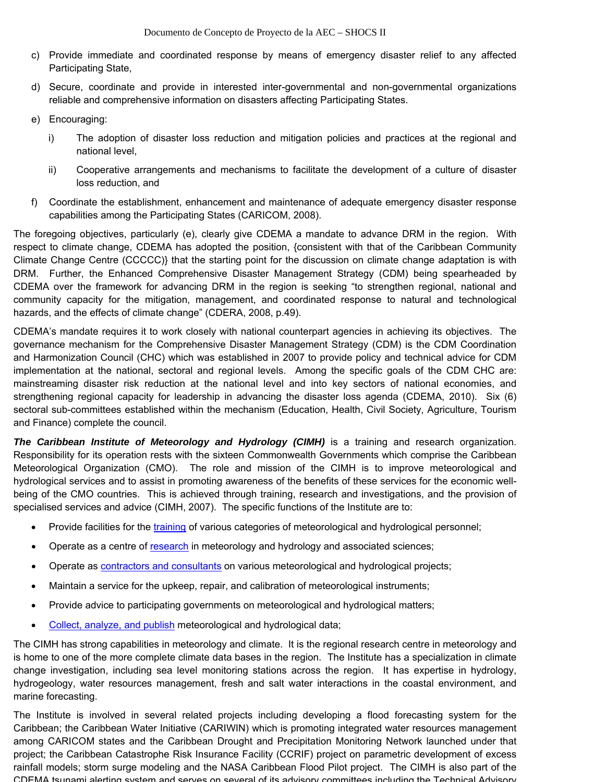- c) Provide immediate and coordinated response by means of emergency disaster relief to any affected Participating State,
- d) Secure, coordinate and provide in interested inter-governmental and non-governmental organizations reliable and comprehensive information on disasters affecting Participating States.
- e) Encouraging:
	- i) The adoption of disaster loss reduction and mitigation policies and practices at the regional and national level,
	- ii) Cooperative arrangements and mechanisms to facilitate the development of a culture of disaster loss reduction, and
- f) Coordinate the establishment, enhancement and maintenance of adequate emergency disaster response capabilities among the Participating States (CARICOM, 2008).

The foregoing objectives, particularly (e), clearly give CDEMA a mandate to advance DRM in the region. With respect to climate change, CDEMA has adopted the position, {consistent with that of the Caribbean Community Climate Change Centre (CCCCC)} that the starting point for the discussion on climate change adaptation is with DRM. Further, the Enhanced Comprehensive Disaster Management Strategy (CDM) being spearheaded by CDEMA over the framework for advancing DRM in the region is seeking "to strengthen regional, national and community capacity for the mitigation, management, and coordinated response to natural and technological hazards, and the effects of climate change" (CDERA, 2008, p.49).

CDEMA's mandate requires it to work closely with national counterpart agencies in achieving its objectives. The governance mechanism for the Comprehensive Disaster Management Strategy (CDM) is the CDM Coordination and Harmonization Council (CHC) which was established in 2007 to provide policy and technical advice for CDM implementation at the national, sectoral and regional levels. Among the specific goals of the CDM CHC are: mainstreaming disaster risk reduction at the national level and into key sectors of national economies, and strengthening regional capacity for leadership in advancing the disaster loss agenda (CDEMA, 2010). Six (6) sectoral sub-committees established within the mechanism (Education, Health, Civil Society, Agriculture, Tourism and Finance) complete the council.

*The Caribbean Institute of Meteorology and Hydrology (CIMH)* is a training and research organization. Responsibility for its operation rests with the sixteen Commonwealth Governments which comprise the Caribbean Meteorological Organization (CMO). The role and mission of the CIMH is to improve meteorological and hydrological services and to assist in promoting awareness of the benefits of these services for the economic wellbeing of the CMO countries. This is achieved through training, research and investigations, and the provision of specialised services and advice (CIMH, 2007). The specific functions of the Institute are to:

- Provide facilities for the training of various categories of meteorological and hydrological personnel;
- Operate as a centre of research in meteorology and hydrology and associated sciences;
- Operate as **contractors and consultants** on various meteorological and hydrological projects;
- Maintain a service for the upkeep, repair, and calibration of meteorological instruments;
- Provide advice to participating governments on meteorological and hydrological matters;
- Collect, analyze, and publish meteorological and hydrological data;

The CIMH has strong capabilities in meteorology and climate. It is the regional research centre in meteorology and is home to one of the more complete climate data bases in the region. The Institute has a specialization in climate change investigation, including sea level monitoring stations across the region. It has expertise in hydrology, hydrogeology, water resources management, fresh and salt water interactions in the coastal environment, and marine forecasting.

The Institute is involved in several related projects including developing a flood forecasting system for the Caribbean; the Caribbean Water Initiative (CARIWIN) which is promoting integrated water resources management among CARICOM states and the Caribbean Drought and Precipitation Monitoring Network launched under that project; the Caribbean Catastrophe Risk Insurance Facility (CCRIF) project on parametric development of excess rainfall models; storm surge modeling and the NASA Caribbean Flood Pilot project. The CIMH is also part of the CDEMA tsunami alerting system and serves on several of its advisory committees including the Technical Advisory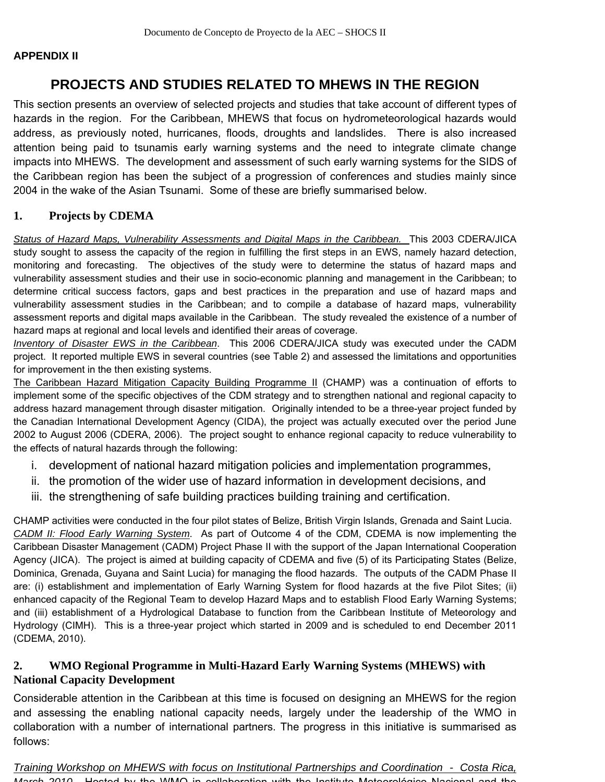#### **APPENDIX II**

## **PROJECTS AND STUDIES RELATED TO MHEWS IN THE REGION**

This section presents an overview of selected projects and studies that take account of different types of hazards in the region. For the Caribbean, MHEWS that focus on hydrometeorological hazards would address, as previously noted, hurricanes, floods, droughts and landslides. There is also increased attention being paid to tsunamis early warning systems and the need to integrate climate change impacts into MHEWS. The development and assessment of such early warning systems for the SIDS of the Caribbean region has been the subject of a progression of conferences and studies mainly since 2004 in the wake of the Asian Tsunami. Some of these are briefly summarised below.

#### **1. Projects by CDEMA**

**Status of Hazard Maps, Vulnerability Assessments and Digital Maps in the Caribbean.** This 2003 CDERA/JICA study sought to assess the capacity of the region in fulfilling the first steps in an EWS, namely hazard detection, monitoring and forecasting. The objectives of the study were to determine the status of hazard maps and vulnerability assessment studies and their use in socio-economic planning and management in the Caribbean; to determine critical success factors, gaps and best practices in the preparation and use of hazard maps and vulnerability assessment studies in the Caribbean; and to compile a database of hazard maps, vulnerability assessment reports and digital maps available in the Caribbean. The study revealed the existence of a number of hazard maps at regional and local levels and identified their areas of coverage.

*Inventory of Disaster EWS in the Caribbean*. This 2006 CDERA/JICA study was executed under the CADM project. It reported multiple EWS in several countries (see Table 2) and assessed the limitations and opportunities for improvement in the then existing systems.

The Caribbean Hazard Mitigation Capacity Building Programme II (CHAMP) was a continuation of efforts to implement some of the specific objectives of the CDM strategy and to strengthen national and regional capacity to address hazard management through disaster mitigation. Originally intended to be a three-year project funded by the Canadian International Development Agency (CIDA), the project was actually executed over the period June 2002 to August 2006 (CDERA, 2006). The project sought to enhance regional capacity to reduce vulnerability to the effects of natural hazards through the following:

- i. development of national hazard mitigation policies and implementation programmes,
- ii. the promotion of the wider use of hazard information in development decisions, and
- iii. the strengthening of safe building practices building training and certification.

CHAMP activities were conducted in the four pilot states of Belize, British Virgin Islands, Grenada and Saint Lucia. *CADM II: Flood Early Warning System*. As part of Outcome 4 of the CDM, CDEMA is now implementing the Caribbean Disaster Management (CADM) Project Phase II with the support of the Japan International Cooperation Agency (JICA). The project is aimed at building capacity of CDEMA and five (5) of its Participating States (Belize, Dominica, Grenada, Guyana and Saint Lucia) for managing the flood hazards. The outputs of the CADM Phase II are: (i) establishment and implementation of Early Warning System for flood hazards at the five Pilot Sites; (ii) enhanced capacity of the Regional Team to develop Hazard Maps and to establish Flood Early Warning Systems; and (iii) establishment of a Hydrological Database to function from the Caribbean Institute of Meteorology and Hydrology (CIMH). This is a three-year project which started in 2009 and is scheduled to end December 2011 (CDEMA, 2010).

#### **2. WMO Regional Programme in Multi-Hazard Early Warning Systems (MHEWS) with National Capacity Development**

Considerable attention in the Caribbean at this time is focused on designing an MHEWS for the region and assessing the enabling national capacity needs, largely under the leadership of the WMO in collaboration with a number of international partners. The progress in this initiative is summarised as follows:

*Training Workshop on MHEWS with focus on Institutional Partnerships and Coordination - Costa Rica, March 2010* Hosted by the WMO in collaboration with the Instituto Meteorológico Nacional and the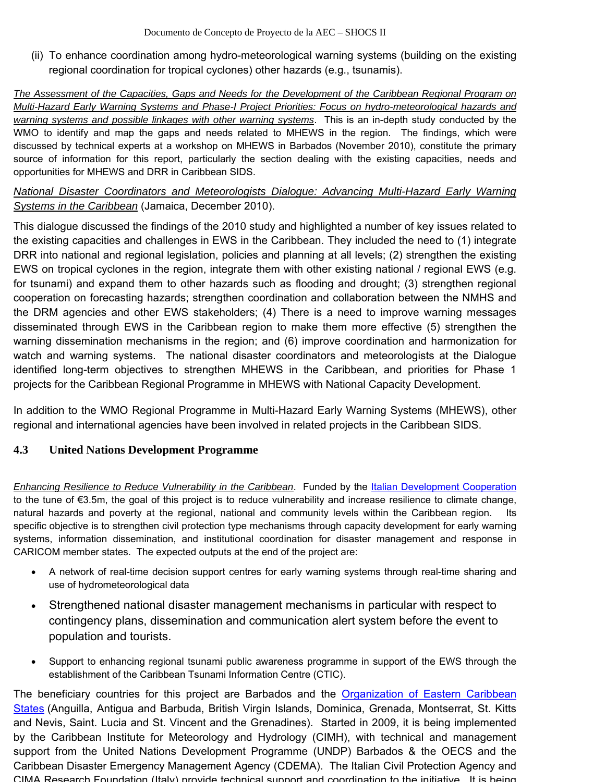(ii) To enhance coordination among hydro-meteorological warning systems (building on the existing regional coordination for tropical cyclones) other hazards (e.g., tsunamis).

*The Assessment of the Capacities, Gaps and Needs for the Development of the Caribbean Regional Program on Multi-Hazard Early Warning Systems and Phase-I Project Priorities: Focus on hydro-meteorological hazards and warning systems and possible linkages with other warning systems*. This is an in-depth study conducted by the WMO to identify and map the gaps and needs related to MHEWS in the region. The findings, which were discussed by technical experts at a workshop on MHEWS in Barbados (November 2010), constitute the primary source of information for this report, particularly the section dealing with the existing capacities, needs and opportunities for MHEWS and DRR in Caribbean SIDS.

#### *National Disaster Coordinators and Meteorologists Dialogue: Advancing Multi-Hazard Early Warning Systems in the Caribbean* (Jamaica, December 2010).

This dialogue discussed the findings of the 2010 study and highlighted a number of key issues related to the existing capacities and challenges in EWS in the Caribbean. They included the need to (1) integrate DRR into national and regional legislation, policies and planning at all levels; (2) strengthen the existing EWS on tropical cyclones in the region, integrate them with other existing national / regional EWS (e.g. for tsunami) and expand them to other hazards such as flooding and drought; (3) strengthen regional cooperation on forecasting hazards; strengthen coordination and collaboration between the NMHS and the DRM agencies and other EWS stakeholders; (4) There is a need to improve warning messages disseminated through EWS in the Caribbean region to make them more effective (5) strengthen the warning dissemination mechanisms in the region; and (6) improve coordination and harmonization for watch and warning systems. The national disaster coordinators and meteorologists at the Dialogue identified long-term objectives to strengthen MHEWS in the Caribbean, and priorities for Phase 1 projects for the Caribbean Regional Programme in MHEWS with National Capacity Development.

In addition to the WMO Regional Programme in Multi-Hazard Early Warning Systems (MHEWS), other regional and international agencies have been involved in related projects in the Caribbean SIDS.

## **4.3 United Nations Development Programme**

*Enhancing Resilience to Reduce Vulnerability in the Caribbean*. Funded by the Italian Development Cooperation to the tune of €3.5m, the goal of this project is to reduce vulnerability and increase resilience to climate change, natural hazards and poverty at the regional, national and community levels within the Caribbean region. specific objective is to strengthen civil protection type mechanisms through capacity development for early warning systems, information dissemination, and institutional coordination for disaster management and response in CARICOM member states. The expected outputs at the end of the project are:

- A network of real-time decision support centres for early warning systems through real-time sharing and use of hydrometeorological data
- Strengthened national disaster management mechanisms in particular with respect to contingency plans, dissemination and communication alert system before the event to population and tourists.
- Support to enhancing regional tsunami public awareness programme in support of the EWS through the establishment of the Caribbean Tsunami Information Centre (CTIC).

The beneficiary countries for this project are Barbados and the Organization of Eastern Caribbean States (Anguilla, Antigua and Barbuda, British Virgin Islands, Dominica, Grenada, Montserrat, St. Kitts and Nevis, Saint. Lucia and St. Vincent and the Grenadines). Started in 2009, it is being implemented by the Caribbean Institute for Meteorology and Hydrology (CIMH), with technical and management support from the United Nations Development Programme (UNDP) Barbados & the OECS and the Caribbean Disaster Emergency Management Agency (CDEMA). The Italian Civil Protection Agency and CIMA Research Foundation (Italy) provide technical support and coordination to the initiative It is being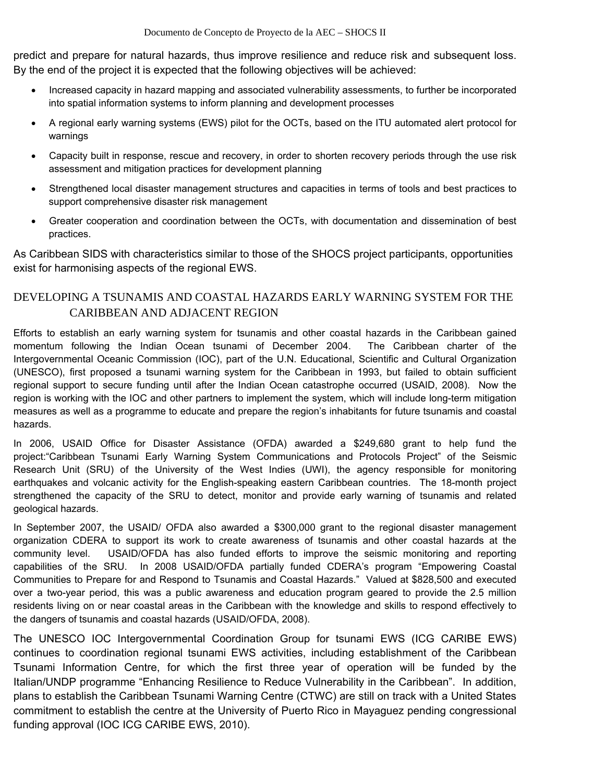predict and prepare for natural hazards, thus improve resilience and reduce risk and subsequent loss. By the end of the project it is expected that the following objectives will be achieved:

- Increased capacity in hazard mapping and associated vulnerability assessments, to further be incorporated into spatial information systems to inform planning and development processes
- A regional early warning systems (EWS) pilot for the OCTs, based on the ITU automated alert protocol for warnings
- Capacity built in response, rescue and recovery, in order to shorten recovery periods through the use risk assessment and mitigation practices for development planning
- Strengthened local disaster management structures and capacities in terms of tools and best practices to support comprehensive disaster risk management
- Greater cooperation and coordination between the OCTs, with documentation and dissemination of best practices.

As Caribbean SIDS with characteristics similar to those of the SHOCS project participants, opportunities exist for harmonising aspects of the regional EWS.

## DEVELOPING A TSUNAMIS AND COASTAL HAZARDS EARLY WARNING SYSTEM FOR THE CARIBBEAN AND ADJACENT REGION

Efforts to establish an early warning system for tsunamis and other coastal hazards in the Caribbean gained momentum following the Indian Ocean tsunami of December 2004. The Caribbean charter of the Intergovernmental Oceanic Commission (IOC), part of the U.N. Educational, Scientific and Cultural Organization (UNESCO), first proposed a tsunami warning system for the Caribbean in 1993, but failed to obtain sufficient regional support to secure funding until after the Indian Ocean catastrophe occurred (USAID, 2008). Now the region is working with the IOC and other partners to implement the system, which will include long-term mitigation measures as well as a programme to educate and prepare the region's inhabitants for future tsunamis and coastal hazards.

In 2006, USAID Office for Disaster Assistance (OFDA) awarded a \$249,680 grant to help fund the project:"Caribbean Tsunami Early Warning System Communications and Protocols Project" of the Seismic Research Unit (SRU) of the University of the West Indies (UWI), the agency responsible for monitoring earthquakes and volcanic activity for the English-speaking eastern Caribbean countries. The 18-month project strengthened the capacity of the SRU to detect, monitor and provide early warning of tsunamis and related geological hazards.

In September 2007, the USAID/ OFDA also awarded a \$300,000 grant to the regional disaster management organization CDERA to support its work to create awareness of tsunamis and other coastal hazards at the community level. USAID/OFDA has also funded efforts to improve the seismic monitoring and reporting capabilities of the SRU. In 2008 USAID/OFDA partially funded CDERA's program "Empowering Coastal Communities to Prepare for and Respond to Tsunamis and Coastal Hazards." Valued at \$828,500 and executed over a two-year period, this was a public awareness and education program geared to provide the 2.5 million residents living on or near coastal areas in the Caribbean with the knowledge and skills to respond effectively to the dangers of tsunamis and coastal hazards (USAID/OFDA, 2008).

The UNESCO IOC Intergovernmental Coordination Group for tsunami EWS (ICG CARIBE EWS) continues to coordination regional tsunami EWS activities, including establishment of the Caribbean Tsunami Information Centre, for which the first three year of operation will be funded by the Italian/UNDP programme "Enhancing Resilience to Reduce Vulnerability in the Caribbean". In addition, plans to establish the Caribbean Tsunami Warning Centre (CTWC) are still on track with a United States commitment to establish the centre at the University of Puerto Rico in Mayaguez pending congressional funding approval (IOC ICG CARIBE EWS, 2010).